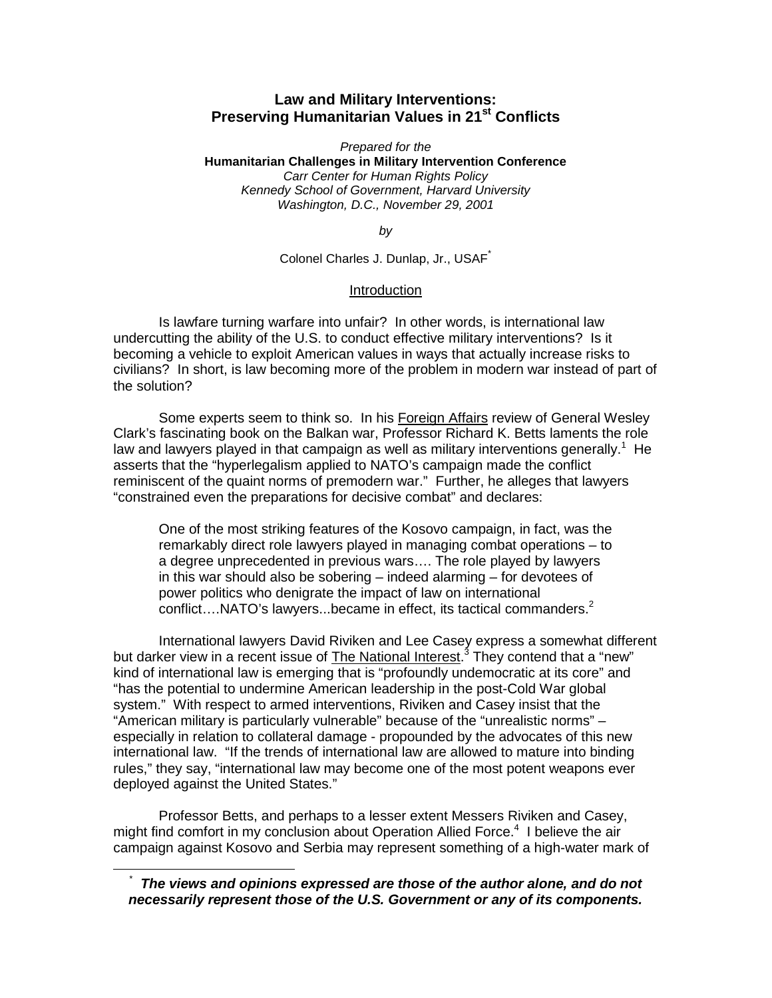# **Law and Military Interventions: Preserving Humanitarian Values in 21st Conflicts**

*Prepared for the* **Humanitarian Challenges in Military Intervention Conference** *Carr Center for Human Rights Policy Kennedy School of Government, Harvard University Washington, D.C., November 29, 2001*

*by*

Colonel Charles J. Dunlap, Jr., USAF<sup>\*</sup>

### Introduction

Is lawfare turning warfare into unfair? In other words, is international law undercutting the ability of the U.S. to conduct effective military interventions? Is it becoming a vehicle to exploit American values in ways that actually increase risks to civilians? In short, is law becoming more of the problem in modern war instead of part of the solution?

Some experts seem to think so. In his Foreign Affairs review of General Wesley Clark's fascinating book on the Balkan war, Professor Richard K. Betts laments the role law and lawyers played in that campaign as well as military interventions generally.<sup>1</sup> He asserts that the "hyperlegalism applied to NATO's campaign made the conflict reminiscent of the quaint norms of premodern war." Further, he alleges that lawyers "constrained even the preparations for decisive combat" and declares:

One of the most striking features of the Kosovo campaign, in fact, was the remarkably direct role lawyers played in managing combat operations – to a degree unprecedented in previous wars…. The role played by lawyers in this war should also be sobering – indeed alarming – for devotees of power politics who denigrate the impact of law on international conflict.... $NATO's$  lawyers...became in effect, its tactical commanders. $2^2$ 

International lawyers David Riviken and Lee Casey express a somewhat different but darker view in a recent issue of The National Interest.<sup>3</sup> They contend that a "new" kind of international law is emerging that is "profoundly undemocratic at its core" and "has the potential to undermine American leadership in the post-Cold War global system." With respect to armed interventions, Riviken and Casey insist that the "American military is particularly vulnerable" because of the "unrealistic norms" – especially in relation to collateral damage - propounded by the advocates of this new international law. "If the trends of international law are allowed to mature into binding rules," they say, "international law may become one of the most potent weapons ever deployed against the United States."

Professor Betts, and perhaps to a lesser extent Messers Riviken and Casey, might find comfort in my conclusion about Operation Allied Force.<sup>4</sup> I believe the air campaign against Kosovo and Serbia may represent something of a high-water mark of

 <sup>\*</sup> *The views and opinions expressed are those of the author alone, and do not necessarily represent those of the U.S. Government or any of its components.*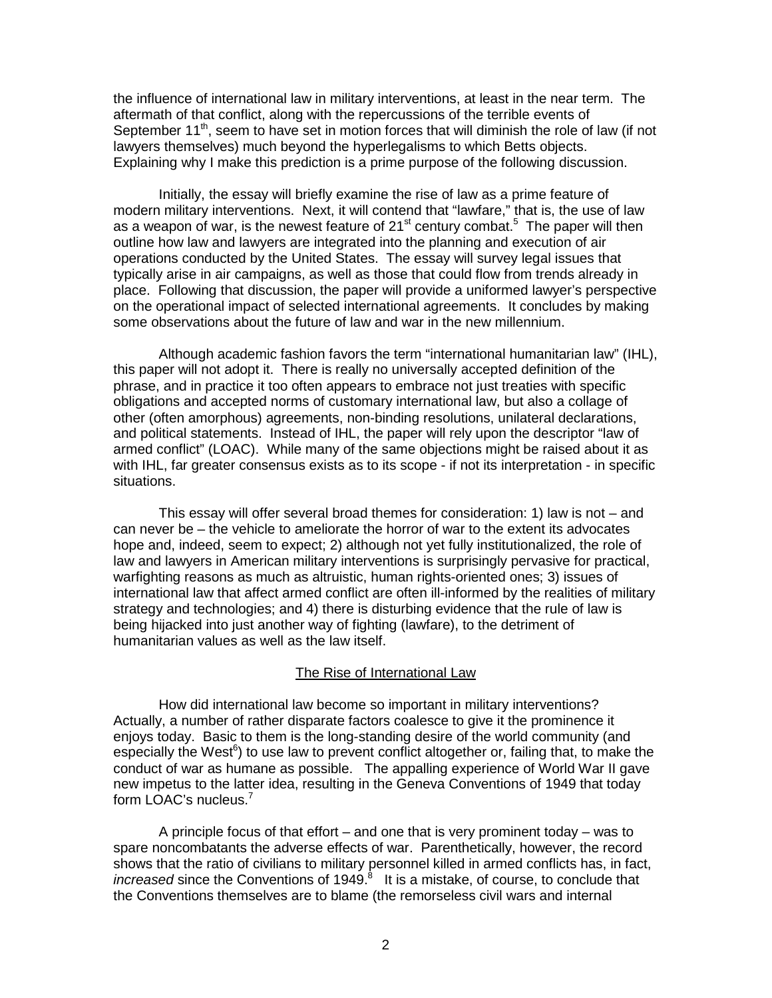the influence of international law in military interventions, at least in the near term. The aftermath of that conflict, along with the repercussions of the terrible events of September  $11<sup>th</sup>$ , seem to have set in motion forces that will diminish the role of law (if not lawyers themselves) much beyond the hyperlegalisms to which Betts objects. Explaining why I make this prediction is a prime purpose of the following discussion.

Initially, the essay will briefly examine the rise of law as a prime feature of modern military interventions. Next, it will contend that "lawfare," that is, the use of law as a weapon of war, is the newest feature of 21<sup>st</sup> century combat.<sup>5</sup> The paper will then outline how law and lawyers are integrated into the planning and execution of air operations conducted by the United States. The essay will survey legal issues that typically arise in air campaigns, as well as those that could flow from trends already in place. Following that discussion, the paper will provide a uniformed lawyer's perspective on the operational impact of selected international agreements. It concludes by making some observations about the future of law and war in the new millennium.

Although academic fashion favors the term "international humanitarian law" (IHL), this paper will not adopt it. There is really no universally accepted definition of the phrase, and in practice it too often appears to embrace not just treaties with specific obligations and accepted norms of customary international law, but also a collage of other (often amorphous) agreements, non-binding resolutions, unilateral declarations, and political statements. Instead of IHL, the paper will rely upon the descriptor "law of armed conflict" (LOAC). While many of the same objections might be raised about it as with IHL, far greater consensus exists as to its scope - if not its interpretation - in specific situations.

This essay will offer several broad themes for consideration: 1) law is not – and can never be – the vehicle to ameliorate the horror of war to the extent its advocates hope and, indeed, seem to expect; 2) although not yet fully institutionalized, the role of law and lawyers in American military interventions is surprisingly pervasive for practical, warfighting reasons as much as altruistic, human rights-oriented ones; 3) issues of international law that affect armed conflict are often ill-informed by the realities of military strategy and technologies; and 4) there is disturbing evidence that the rule of law is being hijacked into just another way of fighting (lawfare), to the detriment of humanitarian values as well as the law itself.

### The Rise of International Law

How did international law become so important in military interventions? Actually, a number of rather disparate factors coalesce to give it the prominence it enjoys today. Basic to them is the long-standing desire of the world community (and especially the West<sup>6</sup>) to use law to prevent conflict altogether or, failing that, to make the conduct of war as humane as possible. The appalling experience of World War II gave new impetus to the latter idea, resulting in the Geneva Conventions of 1949 that today form LOAC's nucleus.<sup>7</sup>

A principle focus of that effort – and one that is very prominent today – was to spare noncombatants the adverse effects of war. Parenthetically, however, the record shows that the ratio of civilians to military personnel killed in armed conflicts has, in fact, increased since the Conventions of 1949.<sup>8</sup> It is a mistake, of course, to conclude that the Conventions themselves are to blame (the remorseless civil wars and internal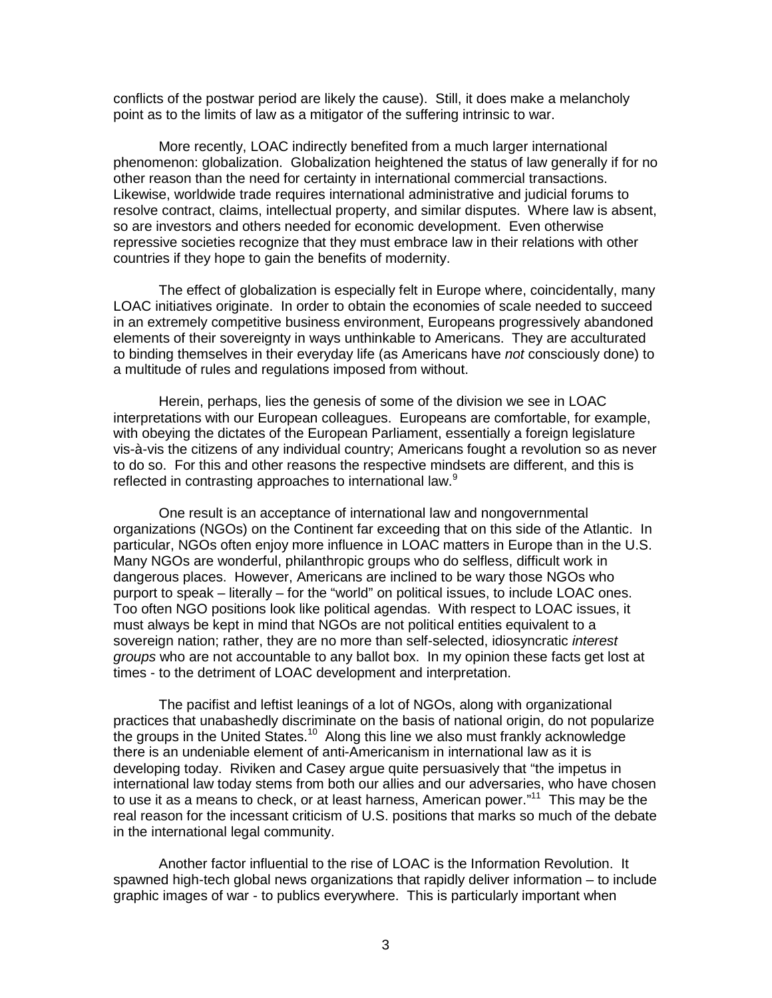conflicts of the postwar period are likely the cause). Still, it does make a melancholy point as to the limits of law as a mitigator of the suffering intrinsic to war.

More recently, LOAC indirectly benefited from a much larger international phenomenon: globalization. Globalization heightened the status of law generally if for no other reason than the need for certainty in international commercial transactions. Likewise, worldwide trade requires international administrative and judicial forums to resolve contract, claims, intellectual property, and similar disputes. Where law is absent, so are investors and others needed for economic development. Even otherwise repressive societies recognize that they must embrace law in their relations with other countries if they hope to gain the benefits of modernity.

The effect of globalization is especially felt in Europe where, coincidentally, many LOAC initiatives originate. In order to obtain the economies of scale needed to succeed in an extremely competitive business environment, Europeans progressively abandoned elements of their sovereignty in ways unthinkable to Americans. They are acculturated to binding themselves in their everyday life (as Americans have *not* consciously done) to a multitude of rules and regulations imposed from without.

Herein, perhaps, lies the genesis of some of the division we see in LOAC interpretations with our European colleagues. Europeans are comfortable, for example, with obeying the dictates of the European Parliament, essentially a foreign legislature vis-à-vis the citizens of any individual country; Americans fought a revolution so as never to do so. For this and other reasons the respective mindsets are different, and this is reflected in contrasting approaches to international law.<sup>9</sup>

One result is an acceptance of international law and nongovernmental organizations (NGOs) on the Continent far exceeding that on this side of the Atlantic. In particular, NGOs often enjoy more influence in LOAC matters in Europe than in the U.S. Many NGOs are wonderful, philanthropic groups who do selfless, difficult work in dangerous places. However, Americans are inclined to be wary those NGOs who purport to speak – literally – for the "world" on political issues, to include LOAC ones. Too often NGO positions look like political agendas. With respect to LOAC issues, it must always be kept in mind that NGOs are not political entities equivalent to a sovereign nation; rather, they are no more than self-selected, idiosyncratic *interest groups* who are not accountable to any ballot box. In my opinion these facts get lost at times - to the detriment of LOAC development and interpretation.

The pacifist and leftist leanings of a lot of NGOs, along with organizational practices that unabashedly discriminate on the basis of national origin, do not popularize the groups in the United States.<sup>10</sup> Along this line we also must frankly acknowledge there is an undeniable element of anti-Americanism in international law as it is developing today. Riviken and Casey argue quite persuasively that "the impetus in international law today stems from both our allies and our adversaries, who have chosen to use it as a means to check, or at least harness, American power."<sup>11</sup> This may be the real reason for the incessant criticism of U.S. positions that marks so much of the debate in the international legal community.

Another factor influential to the rise of LOAC is the Information Revolution. It spawned high-tech global news organizations that rapidly deliver information – to include graphic images of war - to publics everywhere. This is particularly important when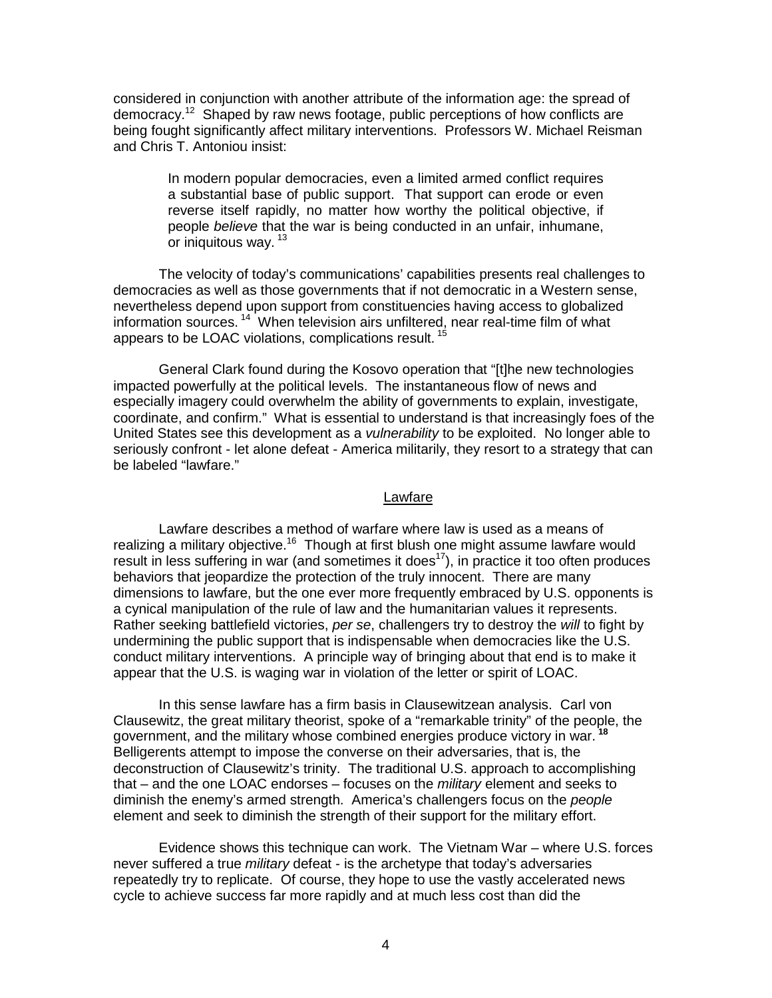considered in conjunction with another attribute of the information age: the spread of democracy.12 Shaped by raw news footage, public perceptions of how conflicts are being fought significantly affect military interventions. Professors W. Michael Reisman and Chris T. Antoniou insist:

> In modern popular democracies, even a limited armed conflict requires a substantial base of public support. That support can erode or even reverse itself rapidly, no matter how worthy the political objective, if people *believe* that the war is being conducted in an unfair, inhumane, or iniquitous way.<sup>13</sup>

The velocity of today's communications' capabilities presents real challenges to democracies as well as those governments that if not democratic in a Western sense, nevertheless depend upon support from constituencies having access to globalized information sources.<sup>14</sup> When television airs unfiltered, near real-time film of what appears to be LOAC violations, complications result.<sup>15</sup>

General Clark found during the Kosovo operation that "[t]he new technologies impacted powerfully at the political levels. The instantaneous flow of news and especially imagery could overwhelm the ability of governments to explain, investigate, coordinate, and confirm." What is essential to understand is that increasingly foes of the United States see this development as a *vulnerability* to be exploited. No longer able to seriously confront - let alone defeat - America militarily, they resort to a strategy that can be labeled "lawfare."

#### Lawfare

Lawfare describes a method of warfare where law is used as a means of realizing a military objective.<sup>16</sup> Though at first blush one might assume lawfare would result in less suffering in war (and sometimes it does<sup>17</sup>), in practice it too often produces behaviors that jeopardize the protection of the truly innocent. There are many dimensions to lawfare, but the one ever more frequently embraced by U.S. opponents is a cynical manipulation of the rule of law and the humanitarian values it represents. Rather seeking battlefield victories, *per se*, challengers try to destroy the *will* to fight by undermining the public support that is indispensable when democracies like the U.S. conduct military interventions. A principle way of bringing about that end is to make it appear that the U.S. is waging war in violation of the letter or spirit of LOAC.

In this sense lawfare has a firm basis in Clausewitzean analysis. Carl von Clausewitz, the great military theorist, spoke of a "remarkable trinity" of the people, the government, and the military whose combined energies produce victory in war.**<sup>18</sup>** Belligerents attempt to impose the converse on their adversaries, that is, the deconstruction of Clausewitz's trinity. The traditional U.S. approach to accomplishing that – and the one LOAC endorses – focuses on the *military* element and seeks to diminish the enemy's armed strength. America's challengers focus on the *people* element and seek to diminish the strength of their support for the military effort.

Evidence shows this technique can work. The Vietnam War – where U.S. forces never suffered a true *military* defeat - is the archetype that today's adversaries repeatedly try to replicate. Of course, they hope to use the vastly accelerated news cycle to achieve success far more rapidly and at much less cost than did the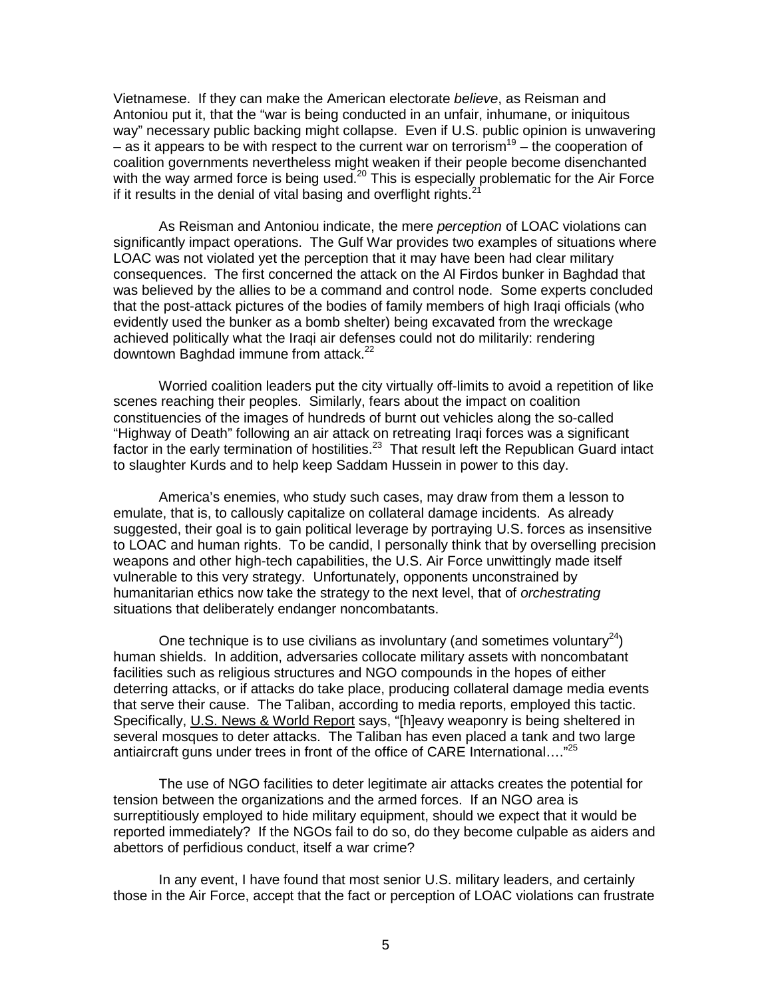Vietnamese. If they can make the American electorate *believe*, as Reisman and Antoniou put it, that the "war is being conducted in an unfair, inhumane, or iniquitous way" necessary public backing might collapse. Even if U.S. public opinion is unwavering – as it appears to be with respect to the current war on terrorism<sup>19</sup> – the cooperation of coalition governments nevertheless might weaken if their people become disenchanted with the way armed force is being used.<sup>20</sup> This is especially problematic for the Air Force if it results in the denial of vital basing and overflight rights. $<sup>2</sup>$ </sup>

As Reisman and Antoniou indicate, the mere *perception* of LOAC violations can significantly impact operations. The Gulf War provides two examples of situations where LOAC was not violated yet the perception that it may have been had clear military consequences. The first concerned the attack on the Al Firdos bunker in Baghdad that was believed by the allies to be a command and control node. Some experts concluded that the post-attack pictures of the bodies of family members of high Iraqi officials (who evidently used the bunker as a bomb shelter) being excavated from the wreckage achieved politically what the Iraqi air defenses could not do militarily: rendering downtown Baghdad immune from attack.<sup>22</sup>

Worried coalition leaders put the city virtually off-limits to avoid a repetition of like scenes reaching their peoples. Similarly, fears about the impact on coalition constituencies of the images of hundreds of burnt out vehicles along the so-called "Highway of Death" following an air attack on retreating Iraqi forces was a significant factor in the early termination of hostilities.<sup>23</sup> That result left the Republican Guard intact to slaughter Kurds and to help keep Saddam Hussein in power to this day.

America's enemies, who study such cases, may draw from them a lesson to emulate, that is, to callously capitalize on collateral damage incidents. As already suggested, their goal is to gain political leverage by portraying U.S. forces as insensitive to LOAC and human rights. To be candid, I personally think that by overselling precision weapons and other high-tech capabilities, the U.S. Air Force unwittingly made itself vulnerable to this very strategy. Unfortunately, opponents unconstrained by humanitarian ethics now take the strategy to the next level, that of *orchestrating* situations that deliberately endanger noncombatants.

One technique is to use civilians as involuntary (and sometimes voluntary<sup>24</sup>) human shields. In addition, adversaries collocate military assets with noncombatant facilities such as religious structures and NGO compounds in the hopes of either deterring attacks, or if attacks do take place, producing collateral damage media events that serve their cause. The Taliban, according to media reports, employed this tactic. Specifically, U.S. News & World Report says, "[h]eavy weaponry is being sheltered in several mosques to deter attacks. The Taliban has even placed a tank and two large antiaircraft guns under trees in front of the office of CARE International...."<sup>25</sup>

The use of NGO facilities to deter legitimate air attacks creates the potential for tension between the organizations and the armed forces. If an NGO area is surreptitiously employed to hide military equipment, should we expect that it would be reported immediately? If the NGOs fail to do so, do they become culpable as aiders and abettors of perfidious conduct, itself a war crime?

In any event, I have found that most senior U.S. military leaders, and certainly those in the Air Force, accept that the fact or perception of LOAC violations can frustrate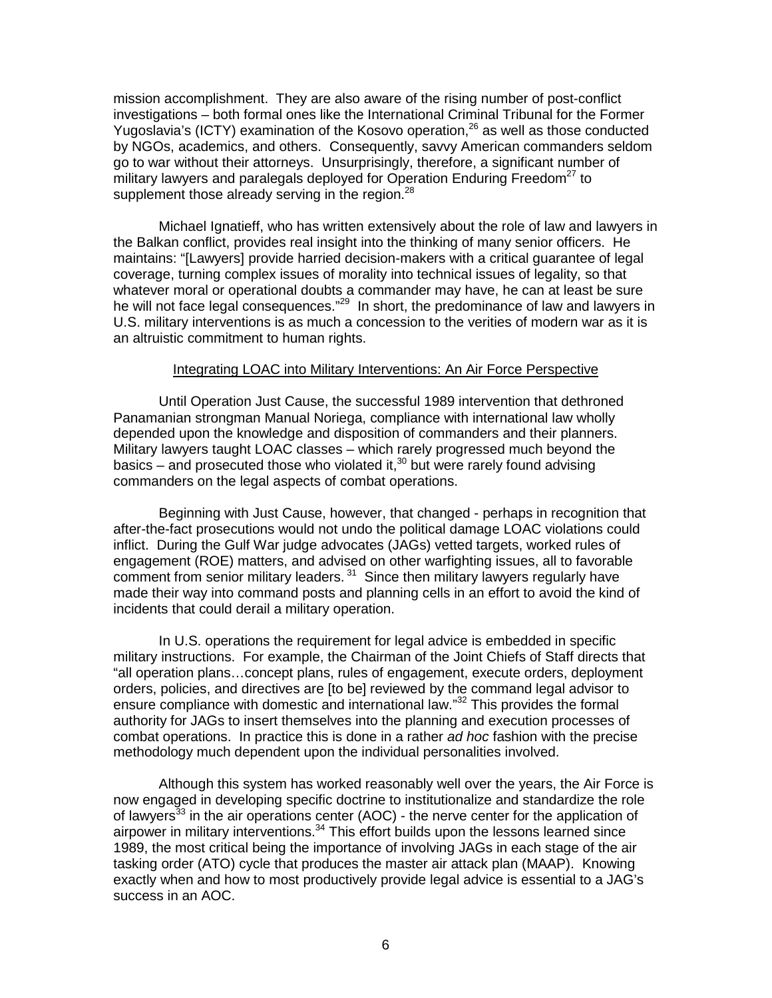mission accomplishment. They are also aware of the rising number of post-conflict investigations – both formal ones like the International Criminal Tribunal for the Former Yugoslavia's (ICTY) examination of the Kosovo operation,  $^{26}$  as well as those conducted by NGOs, academics, and others. Consequently, savvy American commanders seldom go to war without their attorneys. Unsurprisingly, therefore, a significant number of military lawyers and paralegals deployed for Operation Enduring Freedom<sup>27</sup> to supplement those already serving in the region. $28$ 

Michael Ignatieff, who has written extensively about the role of law and lawyers in the Balkan conflict, provides real insight into the thinking of many senior officers. He maintains: "[Lawyers] provide harried decision-makers with a critical guarantee of legal coverage, turning complex issues of morality into technical issues of legality, so that whatever moral or operational doubts a commander may have, he can at least be sure he will not face legal consequences."<sup>29</sup> In short, the predominance of law and lawyers in U.S. military interventions is as much a concession to the verities of modern war as it is an altruistic commitment to human rights.

# Integrating LOAC into Military Interventions: An Air Force Perspective

Until Operation Just Cause, the successful 1989 intervention that dethroned Panamanian strongman Manual Noriega, compliance with international law wholly depended upon the knowledge and disposition of commanders and their planners. Military lawyers taught LOAC classes – which rarely progressed much beyond the basics – and prosecuted those who violated it, $30$  but were rarely found advising commanders on the legal aspects of combat operations.

Beginning with Just Cause, however, that changed - perhaps in recognition that after-the-fact prosecutions would not undo the political damage LOAC violations could inflict. During the Gulf War judge advocates (JAGs) vetted targets, worked rules of engagement (ROE) matters, and advised on other warfighting issues, all to favorable comment from senior military leaders.<sup>31</sup> Since then military lawyers regularly have made their way into command posts and planning cells in an effort to avoid the kind of incidents that could derail a military operation.

In U.S. operations the requirement for legal advice is embedded in specific military instructions. For example, the Chairman of the Joint Chiefs of Staff directs that "all operation plans…concept plans, rules of engagement, execute orders, deployment orders, policies, and directives are [to be] reviewed by the command legal advisor to ensure compliance with domestic and international law."32 This provides the formal authority for JAGs to insert themselves into the planning and execution processes of combat operations. In practice this is done in a rather *ad hoc* fashion with the precise methodology much dependent upon the individual personalities involved.

Although this system has worked reasonably well over the years, the Air Force is now engaged in developing specific doctrine to institutionalize and standardize the role of lawyers<sup>33</sup> in the air operations center (AOC) - the nerve center for the application of airpower in military interventions. $34$  This effort builds upon the lessons learned since 1989, the most critical being the importance of involving JAGs in each stage of the air tasking order (ATO) cycle that produces the master air attack plan (MAAP). Knowing exactly when and how to most productively provide legal advice is essential to a JAG's success in an AOC.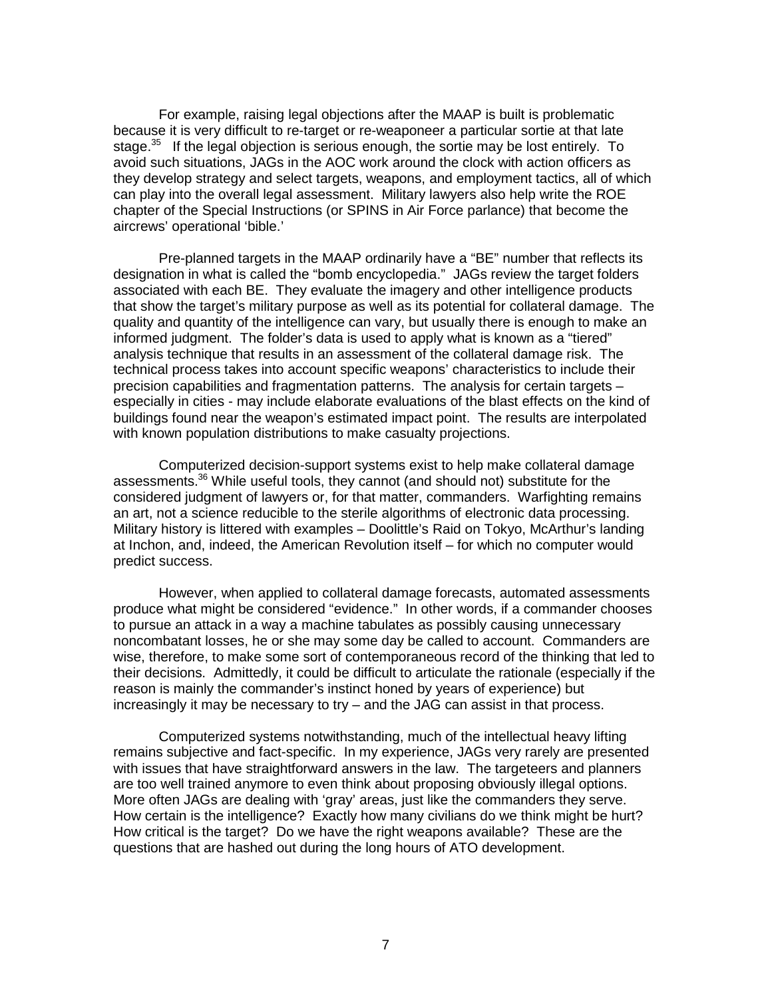For example, raising legal objections after the MAAP is built is problematic because it is very difficult to re-target or re-weaponeer a particular sortie at that late stage. $35$  If the legal objection is serious enough, the sortie may be lost entirely. To avoid such situations, JAGs in the AOC work around the clock with action officers as they develop strategy and select targets, weapons, and employment tactics, all of which can play into the overall legal assessment. Military lawyers also help write the ROE chapter of the Special Instructions (or SPINS in Air Force parlance) that become the aircrews' operational 'bible.'

Pre-planned targets in the MAAP ordinarily have a "BE" number that reflects its designation in what is called the "bomb encyclopedia." JAGs review the target folders associated with each BE. They evaluate the imagery and other intelligence products that show the target's military purpose as well as its potential for collateral damage. The quality and quantity of the intelligence can vary, but usually there is enough to make an informed judgment. The folder's data is used to apply what is known as a "tiered" analysis technique that results in an assessment of the collateral damage risk. The technical process takes into account specific weapons' characteristics to include their precision capabilities and fragmentation patterns. The analysis for certain targets – especially in cities - may include elaborate evaluations of the blast effects on the kind of buildings found near the weapon's estimated impact point. The results are interpolated with known population distributions to make casualty projections.

Computerized decision-support systems exist to help make collateral damage assessments.<sup>36</sup> While useful tools, they cannot (and should not) substitute for the considered judgment of lawyers or, for that matter, commanders. Warfighting remains an art, not a science reducible to the sterile algorithms of electronic data processing. Military history is littered with examples – Doolittle's Raid on Tokyo, McArthur's landing at Inchon, and, indeed, the American Revolution itself – for which no computer would predict success.

However, when applied to collateral damage forecasts, automated assessments produce what might be considered "evidence." In other words, if a commander chooses to pursue an attack in a way a machine tabulates as possibly causing unnecessary noncombatant losses, he or she may some day be called to account. Commanders are wise, therefore, to make some sort of contemporaneous record of the thinking that led to their decisions. Admittedly, it could be difficult to articulate the rationale (especially if the reason is mainly the commander's instinct honed by years of experience) but increasingly it may be necessary to try – and the JAG can assist in that process.

Computerized systems notwithstanding, much of the intellectual heavy lifting remains subjective and fact-specific. In my experience, JAGs very rarely are presented with issues that have straightforward answers in the law. The targeteers and planners are too well trained anymore to even think about proposing obviously illegal options. More often JAGs are dealing with 'gray' areas, just like the commanders they serve. How certain is the intelligence? Exactly how many civilians do we think might be hurt? How critical is the target? Do we have the right weapons available? These are the questions that are hashed out during the long hours of ATO development.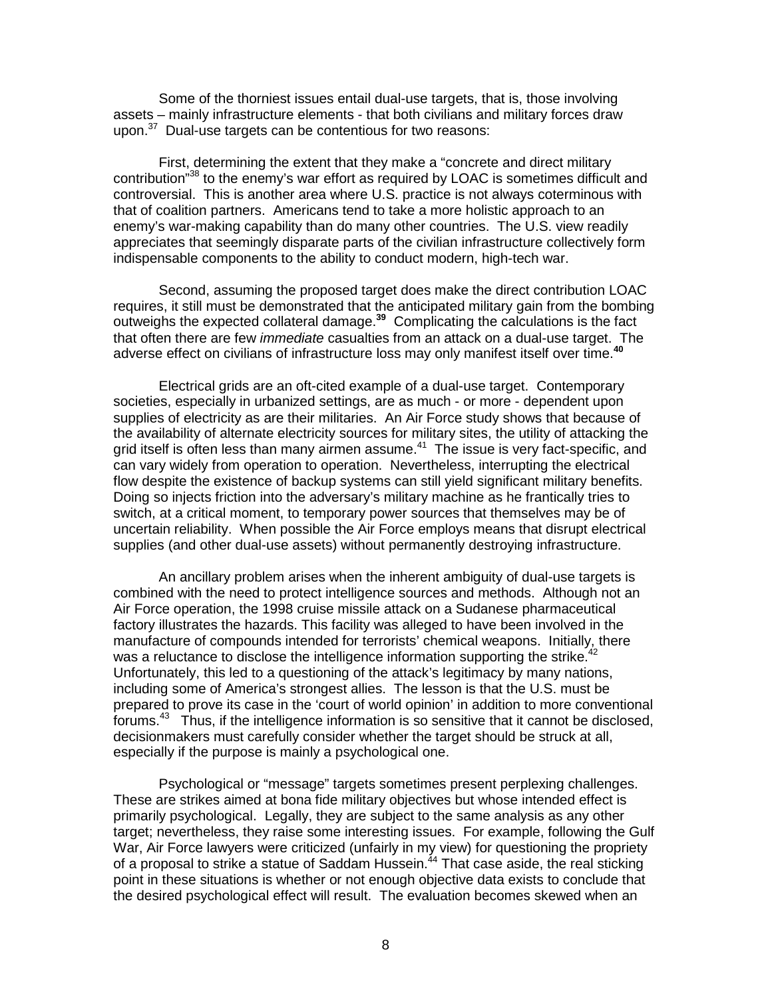Some of the thorniest issues entail dual-use targets, that is, those involving assets – mainly infrastructure elements - that both civilians and military forces draw upon.<sup>37</sup> Dual-use targets can be contentious for two reasons:

First, determining the extent that they make a "concrete and direct military contribution<sup>38</sup> to the enemy's war effort as required by LOAC is sometimes difficult and controversial. This is another area where U.S. practice is not always coterminous with that of coalition partners. Americans tend to take a more holistic approach to an enemy's war-making capability than do many other countries. The U.S. view readily appreciates that seemingly disparate parts of the civilian infrastructure collectively form indispensable components to the ability to conduct modern, high-tech war.

Second, assuming the proposed target does make the direct contribution LOAC requires, it still must be demonstrated that the anticipated military gain from the bombing outweighs the expected collateral damage.**<sup>39</sup>** Complicating the calculations is the fact that often there are few *immediate* casualties from an attack on a dual-use target. The adverse effect on civilians of infrastructure loss may only manifest itself over time.**<sup>40</sup>**

Electrical grids are an oft-cited example of a dual-use target. Contemporary societies, especially in urbanized settings, are as much - or more - dependent upon supplies of electricity as are their militaries. An Air Force study shows that because of the availability of alternate electricity sources for military sites, the utility of attacking the grid itself is often less than many airmen assume. $41$  The issue is very fact-specific, and can vary widely from operation to operation. Nevertheless, interrupting the electrical flow despite the existence of backup systems can still yield significant military benefits. Doing so injects friction into the adversary's military machine as he frantically tries to switch, at a critical moment, to temporary power sources that themselves may be of uncertain reliability. When possible the Air Force employs means that disrupt electrical supplies (and other dual-use assets) without permanently destroying infrastructure.

An ancillary problem arises when the inherent ambiguity of dual-use targets is combined with the need to protect intelligence sources and methods. Although not an Air Force operation, the 1998 cruise missile attack on a Sudanese pharmaceutical factory illustrates the hazards. This facility was alleged to have been involved in the manufacture of compounds intended for terrorists' chemical weapons. Initially, there was a reluctance to disclose the intelligence information supporting the strike.<sup>42</sup> Unfortunately, this led to a questioning of the attack's legitimacy by many nations, including some of America's strongest allies. The lesson is that the U.S. must be prepared to prove its case in the 'court of world opinion' in addition to more conventional forums. $43$  Thus, if the intelligence information is so sensitive that it cannot be disclosed, decisionmakers must carefully consider whether the target should be struck at all, especially if the purpose is mainly a psychological one.

Psychological or "message" targets sometimes present perplexing challenges. These are strikes aimed at bona fide military objectives but whose intended effect is primarily psychological. Legally, they are subject to the same analysis as any other target; nevertheless, they raise some interesting issues. For example, following the Gulf War, Air Force lawyers were criticized (unfairly in my view) for questioning the propriety of a proposal to strike a statue of Saddam Hussein.<sup> $44$ </sup> That case aside, the real sticking point in these situations is whether or not enough objective data exists to conclude that the desired psychological effect will result. The evaluation becomes skewed when an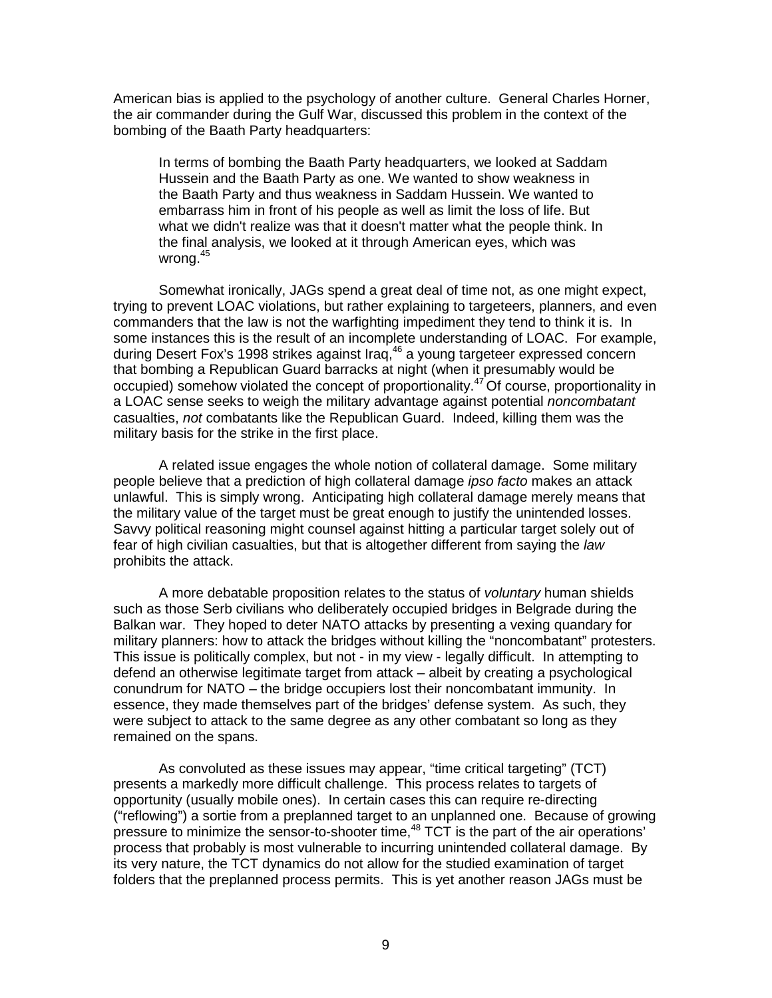American bias is applied to the psychology of another culture. General Charles Horner, the air commander during the Gulf War, discussed this problem in the context of the bombing of the Baath Party headquarters:

In terms of bombing the Baath Party headquarters, we looked at Saddam Hussein and the Baath Party as one. We wanted to show weakness in the Baath Party and thus weakness in Saddam Hussein. We wanted to embarrass him in front of his people as well as limit the loss of life. But what we didn't realize was that it doesn't matter what the people think. In the final analysis, we looked at it through American eyes, which was wrona.<sup>45</sup>

Somewhat ironically, JAGs spend a great deal of time not, as one might expect, trying to prevent LOAC violations, but rather explaining to targeteers, planners, and even commanders that the law is not the warfighting impediment they tend to think it is. In some instances this is the result of an incomplete understanding of LOAC. For example, during Desert Fox's 1998 strikes against Iraq,<sup>46</sup> a young targeteer expressed concern that bombing a Republican Guard barracks at night (when it presumably would be occupied) somehow violated the concept of proportionality.<sup>47</sup> Of course, proportionality in a LOAC sense seeks to weigh the military advantage against potential *noncombatant* casualties, *not* combatants like the Republican Guard. Indeed, killing them was the military basis for the strike in the first place.

A related issue engages the whole notion of collateral damage. Some military people believe that a prediction of high collateral damage *ipso facto* makes an attack unlawful. This is simply wrong. Anticipating high collateral damage merely means that the military value of the target must be great enough to justify the unintended losses. Savvy political reasoning might counsel against hitting a particular target solely out of fear of high civilian casualties, but that is altogether different from saying the *law* prohibits the attack.

A more debatable proposition relates to the status of *voluntary* human shields such as those Serb civilians who deliberately occupied bridges in Belgrade during the Balkan war. They hoped to deter NATO attacks by presenting a vexing quandary for military planners: how to attack the bridges without killing the "noncombatant" protesters. This issue is politically complex, but not - in my view - legally difficult. In attempting to defend an otherwise legitimate target from attack – albeit by creating a psychological conundrum for NATO – the bridge occupiers lost their noncombatant immunity. In essence, they made themselves part of the bridges' defense system. As such, they were subject to attack to the same degree as any other combatant so long as they remained on the spans.

As convoluted as these issues may appear, "time critical targeting" (TCT) presents a markedly more difficult challenge. This process relates to targets of opportunity (usually mobile ones). In certain cases this can require re-directing ("reflowing") a sortie from a preplanned target to an unplanned one. Because of growing pressure to minimize the sensor-to-shooter time,  $48$  TCT is the part of the air operations' process that probably is most vulnerable to incurring unintended collateral damage. By its very nature, the TCT dynamics do not allow for the studied examination of target folders that the preplanned process permits. This is yet another reason JAGs must be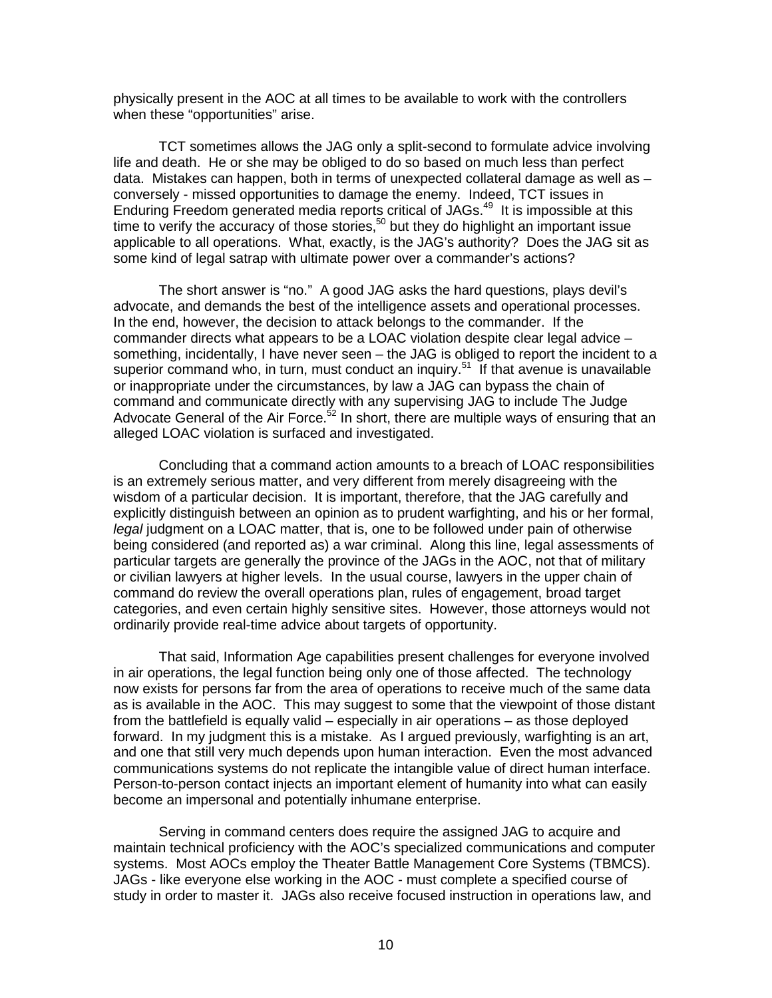physically present in the AOC at all times to be available to work with the controllers when these "opportunities" arise.

TCT sometimes allows the JAG only a split-second to formulate advice involving life and death. He or she may be obliged to do so based on much less than perfect data. Mistakes can happen, both in terms of unexpected collateral damage as well as – conversely - missed opportunities to damage the enemy. Indeed, TCT issues in Enduring Freedom generated media reports critical of JAGs.49 It is impossible at this time to verify the accuracy of those stories,<sup>50</sup> but they do highlight an important issue applicable to all operations. What, exactly, is the JAG's authority? Does the JAG sit as some kind of legal satrap with ultimate power over a commander's actions?

The short answer is "no." A good JAG asks the hard questions, plays devil's advocate, and demands the best of the intelligence assets and operational processes. In the end, however, the decision to attack belongs to the commander. If the commander directs what appears to be a LOAC violation despite clear legal advice – something, incidentally, I have never seen – the JAG is obliged to report the incident to a superior command who, in turn, must conduct an inquiry.<sup>51</sup> If that avenue is unavailable or inappropriate under the circumstances, by law a JAG can bypass the chain of command and communicate directly with any supervising JAG to include The Judge Advocate General of the Air Force.<sup>52</sup> In short, there are multiple ways of ensuring that an alleged LOAC violation is surfaced and investigated.

Concluding that a command action amounts to a breach of LOAC responsibilities is an extremely serious matter, and very different from merely disagreeing with the wisdom of a particular decision. It is important, therefore, that the JAG carefully and explicitly distinguish between an opinion as to prudent warfighting, and his or her formal, *legal* judgment on a LOAC matter, that is, one to be followed under pain of otherwise being considered (and reported as) a war criminal. Along this line, legal assessments of particular targets are generally the province of the JAGs in the AOC, not that of military or civilian lawyers at higher levels. In the usual course, lawyers in the upper chain of command do review the overall operations plan, rules of engagement, broad target categories, and even certain highly sensitive sites. However, those attorneys would not ordinarily provide real-time advice about targets of opportunity.

That said, Information Age capabilities present challenges for everyone involved in air operations, the legal function being only one of those affected. The technology now exists for persons far from the area of operations to receive much of the same data as is available in the AOC. This may suggest to some that the viewpoint of those distant from the battlefield is equally valid – especially in air operations – as those deployed forward. In my judgment this is a mistake. As I argued previously, warfighting is an art, and one that still very much depends upon human interaction. Even the most advanced communications systems do not replicate the intangible value of direct human interface. Person-to-person contact injects an important element of humanity into what can easily become an impersonal and potentially inhumane enterprise.

Serving in command centers does require the assigned JAG to acquire and maintain technical proficiency with the AOC's specialized communications and computer systems. Most AOCs employ the Theater Battle Management Core Systems (TBMCS). JAGs - like everyone else working in the AOC - must complete a specified course of study in order to master it. JAGs also receive focused instruction in operations law, and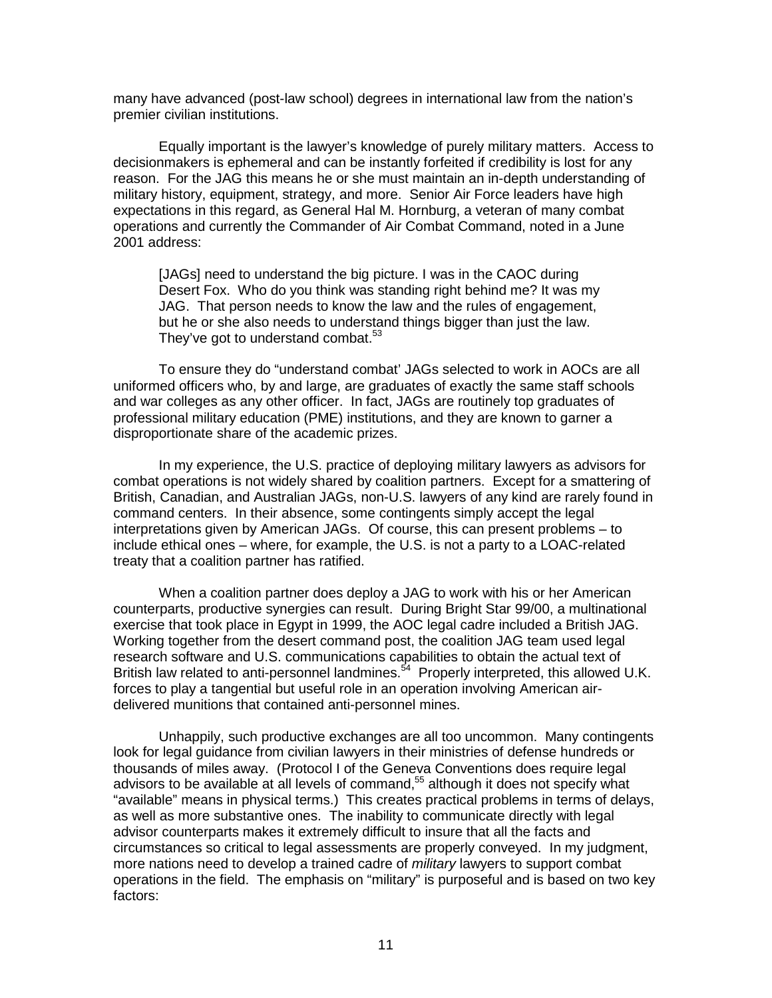many have advanced (post-law school) degrees in international law from the nation's premier civilian institutions.

Equally important is the lawyer's knowledge of purely military matters. Access to decisionmakers is ephemeral and can be instantly forfeited if credibility is lost for any reason. For the JAG this means he or she must maintain an in-depth understanding of military history, equipment, strategy, and more. Senior Air Force leaders have high expectations in this regard, as General Hal M. Hornburg, a veteran of many combat operations and currently the Commander of Air Combat Command, noted in a June 2001 address:

[JAGs] need to understand the big picture. I was in the CAOC during Desert Fox. Who do you think was standing right behind me? It was my JAG. That person needs to know the law and the rules of engagement, but he or she also needs to understand things bigger than just the law. They've got to understand combat. $53$ 

To ensure they do "understand combat' JAGs selected to work in AOCs are all uniformed officers who, by and large, are graduates of exactly the same staff schools and war colleges as any other officer. In fact, JAGs are routinely top graduates of professional military education (PME) institutions, and they are known to garner a disproportionate share of the academic prizes.

In my experience, the U.S. practice of deploying military lawyers as advisors for combat operations is not widely shared by coalition partners. Except for a smattering of British, Canadian, and Australian JAGs, non-U.S. lawyers of any kind are rarely found in command centers. In their absence, some contingents simply accept the legal interpretations given by American JAGs. Of course, this can present problems – to include ethical ones – where, for example, the U.S. is not a party to a LOAC-related treaty that a coalition partner has ratified.

When a coalition partner does deploy a JAG to work with his or her American counterparts, productive synergies can result. During Bright Star 99/00, a multinational exercise that took place in Egypt in 1999, the AOC legal cadre included a British JAG. Working together from the desert command post, the coalition JAG team used legal research software and U.S. communications capabilities to obtain the actual text of British law related to anti-personnel landmines.<sup>54</sup> Properly interpreted, this allowed U.K. forces to play a tangential but useful role in an operation involving American airdelivered munitions that contained anti-personnel mines.

Unhappily, such productive exchanges are all too uncommon. Many contingents look for legal guidance from civilian lawyers in their ministries of defense hundreds or thousands of miles away. (Protocol I of the Geneva Conventions does require legal advisors to be available at all levels of command,<sup>55</sup> although it does not specify what "available" means in physical terms.) This creates practical problems in terms of delays, as well as more substantive ones. The inability to communicate directly with legal advisor counterparts makes it extremely difficult to insure that all the facts and circumstances so critical to legal assessments are properly conveyed. In my judgment, more nations need to develop a trained cadre of *military* lawyers to support combat operations in the field. The emphasis on "military" is purposeful and is based on two key factors: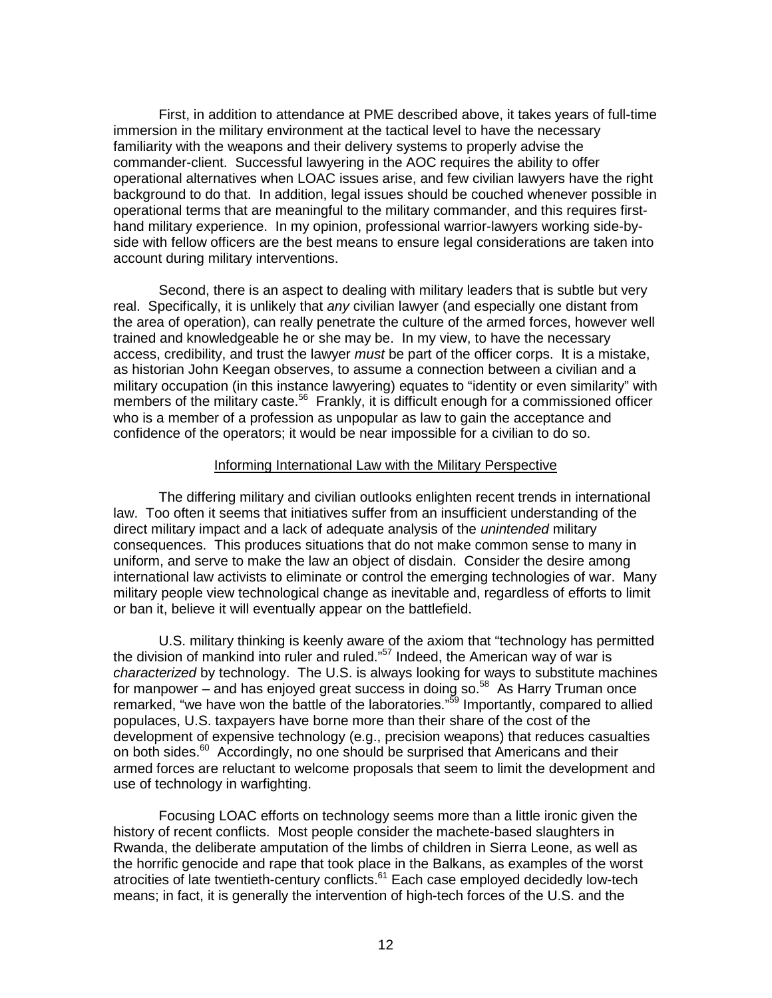First, in addition to attendance at PME described above, it takes years of full-time immersion in the military environment at the tactical level to have the necessary familiarity with the weapons and their delivery systems to properly advise the commander-client. Successful lawyering in the AOC requires the ability to offer operational alternatives when LOAC issues arise, and few civilian lawyers have the right background to do that. In addition, legal issues should be couched whenever possible in operational terms that are meaningful to the military commander, and this requires firsthand military experience. In my opinion, professional warrior-lawyers working side-byside with fellow officers are the best means to ensure legal considerations are taken into account during military interventions.

Second, there is an aspect to dealing with military leaders that is subtle but very real. Specifically, it is unlikely that *any* civilian lawyer (and especially one distant from the area of operation), can really penetrate the culture of the armed forces, however well trained and knowledgeable he or she may be. In my view, to have the necessary access, credibility, and trust the lawyer *must* be part of the officer corps. It is a mistake, as historian John Keegan observes, to assume a connection between a civilian and a military occupation (in this instance lawyering) equates to "identity or even similarity" with members of the military caste.<sup>56</sup> Frankly, it is difficult enough for a commissioned officer who is a member of a profession as unpopular as law to gain the acceptance and confidence of the operators; it would be near impossible for a civilian to do so.

# Informing International Law with the Military Perspective

The differing military and civilian outlooks enlighten recent trends in international law. Too often it seems that initiatives suffer from an insufficient understanding of the direct military impact and a lack of adequate analysis of the *unintended* military consequences. This produces situations that do not make common sense to many in uniform, and serve to make the law an object of disdain. Consider the desire among international law activists to eliminate or control the emerging technologies of war. Many military people view technological change as inevitable and, regardless of efforts to limit or ban it, believe it will eventually appear on the battlefield.

U.S. military thinking is keenly aware of the axiom that "technology has permitted the division of mankind into ruler and ruled."57 Indeed, the American way of war is *characterized* by technology. The U.S. is always looking for ways to substitute machines for manpower – and has enjoyed great success in doing so. $58$  As Harry Truman once remarked, "we have won the battle of the laboratories."<sup>59</sup> Importantly, compared to allied populaces, U.S. taxpayers have borne more than their share of the cost of the development of expensive technology (e.g., precision weapons) that reduces casualties on both sides.<sup>60</sup> Accordingly, no one should be surprised that Americans and their armed forces are reluctant to welcome proposals that seem to limit the development and use of technology in warfighting.

Focusing LOAC efforts on technology seems more than a little ironic given the history of recent conflicts. Most people consider the machete-based slaughters in Rwanda, the deliberate amputation of the limbs of children in Sierra Leone, as well as the horrific genocide and rape that took place in the Balkans, as examples of the worst atrocities of late twentieth-century conflicts.<sup>61</sup> Each case employed decidedly low-tech means; in fact, it is generally the intervention of high-tech forces of the U.S. and the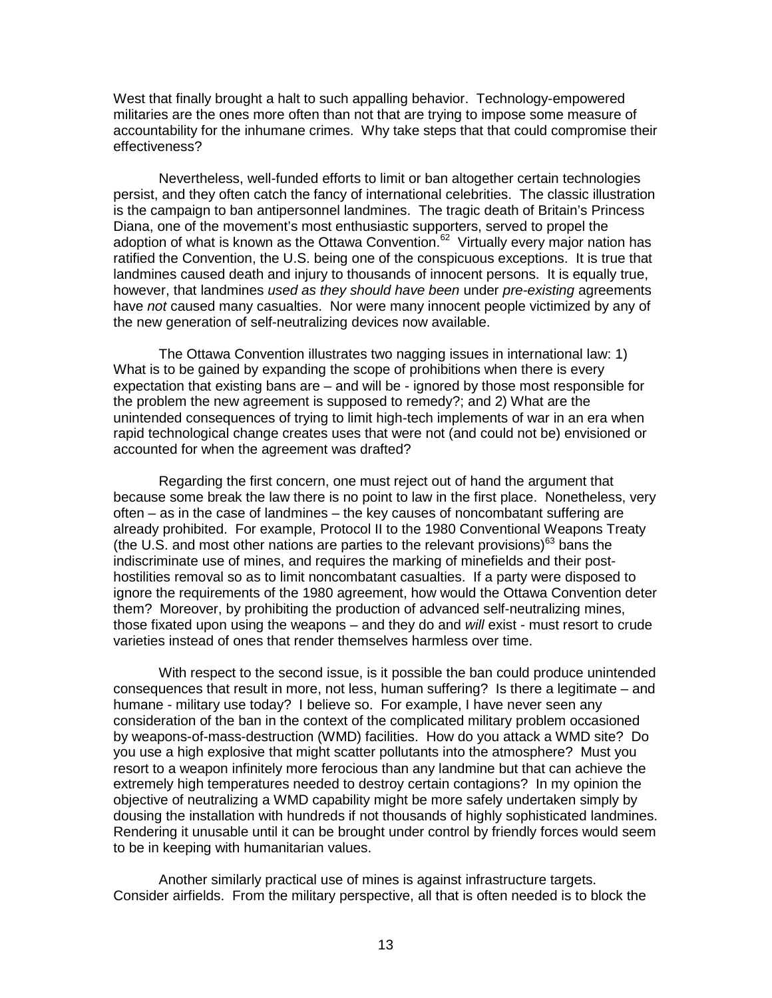West that finally brought a halt to such appalling behavior. Technology-empowered militaries are the ones more often than not that are trying to impose some measure of accountability for the inhumane crimes. Why take steps that that could compromise their effectiveness?

Nevertheless, well-funded efforts to limit or ban altogether certain technologies persist, and they often catch the fancy of international celebrities. The classic illustration is the campaign to ban antipersonnel landmines. The tragic death of Britain's Princess Diana, one of the movement's most enthusiastic supporters, served to propel the adoption of what is known as the Ottawa Convention.<sup>62</sup> Virtually every major nation has ratified the Convention, the U.S. being one of the conspicuous exceptions. It is true that landmines caused death and injury to thousands of innocent persons. It is equally true, however, that landmines *used as they should have been* under *pre-existing* agreements have *not* caused many casualties. Nor were many innocent people victimized by any of the new generation of self-neutralizing devices now available.

The Ottawa Convention illustrates two nagging issues in international law: 1) What is to be gained by expanding the scope of prohibitions when there is every expectation that existing bans are – and will be - ignored by those most responsible for the problem the new agreement is supposed to remedy?; and 2) What are the unintended consequences of trying to limit high-tech implements of war in an era when rapid technological change creates uses that were not (and could not be) envisioned or accounted for when the agreement was drafted?

Regarding the first concern, one must reject out of hand the argument that because some break the law there is no point to law in the first place. Nonetheless, very often – as in the case of landmines – the key causes of noncombatant suffering are already prohibited. For example, Protocol II to the 1980 Conventional Weapons Treaty (the U.S. and most other nations are parties to the relevant provisions)<sup>63</sup> bans the indiscriminate use of mines, and requires the marking of minefields and their posthostilities removal so as to limit noncombatant casualties. If a party were disposed to ignore the requirements of the 1980 agreement, how would the Ottawa Convention deter them? Moreover, by prohibiting the production of advanced self-neutralizing mines, those fixated upon using the weapons – and they do and *will* exist - must resort to crude varieties instead of ones that render themselves harmless over time.

With respect to the second issue, is it possible the ban could produce unintended consequences that result in more, not less, human suffering? Is there a legitimate – and humane - military use today? I believe so. For example, I have never seen any consideration of the ban in the context of the complicated military problem occasioned by weapons-of-mass-destruction (WMD) facilities. How do you attack a WMD site? Do you use a high explosive that might scatter pollutants into the atmosphere? Must you resort to a weapon infinitely more ferocious than any landmine but that can achieve the extremely high temperatures needed to destroy certain contagions? In my opinion the objective of neutralizing a WMD capability might be more safely undertaken simply by dousing the installation with hundreds if not thousands of highly sophisticated landmines. Rendering it unusable until it can be brought under control by friendly forces would seem to be in keeping with humanitarian values.

Another similarly practical use of mines is against infrastructure targets. Consider airfields. From the military perspective, all that is often needed is to block the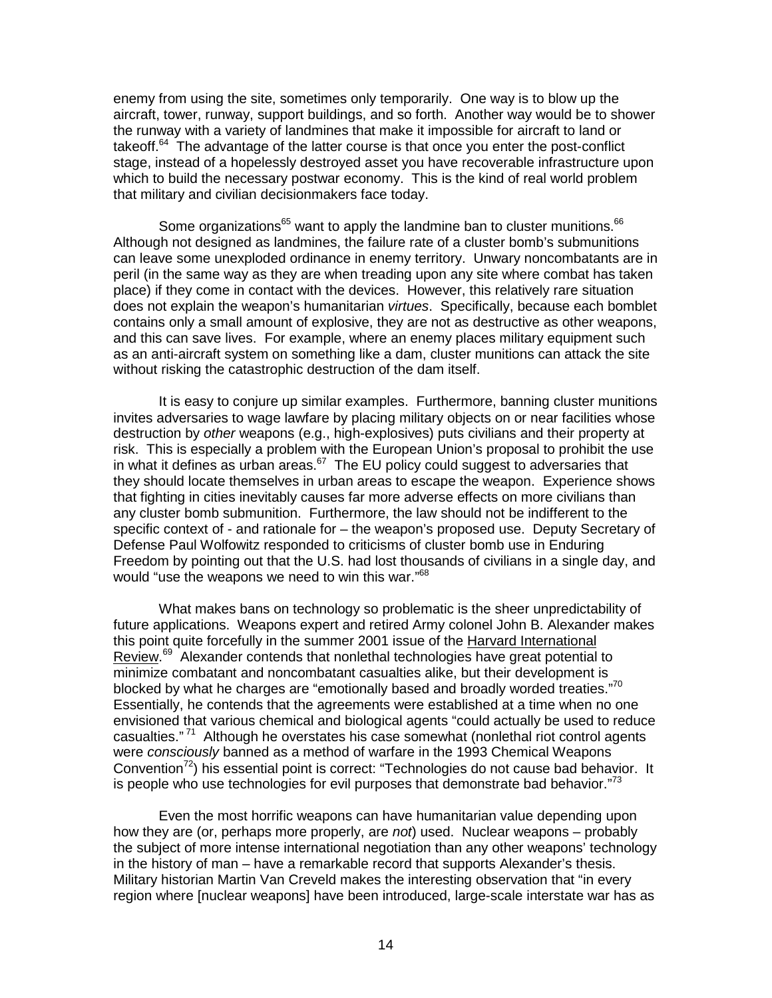enemy from using the site, sometimes only temporarily. One way is to blow up the aircraft, tower, runway, support buildings, and so forth. Another way would be to shower the runway with a variety of landmines that make it impossible for aircraft to land or takeoff.<sup>64</sup> The advantage of the latter course is that once you enter the post-conflict stage, instead of a hopelessly destroyed asset you have recoverable infrastructure upon which to build the necessary postwar economy. This is the kind of real world problem that military and civilian decisionmakers face today.

Some organizations<sup>65</sup> want to apply the landmine ban to cluster munitions.<sup>66</sup> Although not designed as landmines, the failure rate of a cluster bomb's submunitions can leave some unexploded ordinance in enemy territory. Unwary noncombatants are in peril (in the same way as they are when treading upon any site where combat has taken place) if they come in contact with the devices. However, this relatively rare situation does not explain the weapon's humanitarian *virtues*. Specifically, because each bomblet contains only a small amount of explosive, they are not as destructive as other weapons, and this can save lives. For example, where an enemy places military equipment such as an anti-aircraft system on something like a dam, cluster munitions can attack the site without risking the catastrophic destruction of the dam itself.

It is easy to conjure up similar examples. Furthermore, banning cluster munitions invites adversaries to wage lawfare by placing military objects on or near facilities whose destruction by *other* weapons (e.g., high-explosives) puts civilians and their property at risk. This is especially a problem with the European Union's proposal to prohibit the use in what it defines as urban areas. $67$  The EU policy could suggest to adversaries that they should locate themselves in urban areas to escape the weapon. Experience shows that fighting in cities inevitably causes far more adverse effects on more civilians than any cluster bomb submunition. Furthermore, the law should not be indifferent to the specific context of - and rationale for – the weapon's proposed use. Deputy Secretary of Defense Paul Wolfowitz responded to criticisms of cluster bomb use in Enduring Freedom by pointing out that the U.S. had lost thousands of civilians in a single day, and would "use the weapons we need to win this war."68

What makes bans on technology so problematic is the sheer unpredictability of future applications. Weapons expert and retired Army colonel John B. Alexander makes this point quite forcefully in the summer 2001 issue of the Harvard International Review.<sup>69</sup> Alexander contends that nonlethal technologies have great potential to minimize combatant and noncombatant casualties alike, but their development is blocked by what he charges are "emotionally based and broadly worded treaties."70 Essentially, he contends that the agreements were established at a time when no one envisioned that various chemical and biological agents "could actually be used to reduce casualties."<sup>71</sup> Although he overstates his case somewhat (nonlethal riot control agents were *consciously* banned as a method of warfare in the 1993 Chemical Weapons Convention<sup>72</sup>) his essential point is correct: "Technologies do not cause bad behavior. It is people who use technologies for evil purposes that demonstrate bad behavior. $^{73}$ 

Even the most horrific weapons can have humanitarian value depending upon how they are (or, perhaps more properly, are *not*) used. Nuclear weapons – probably the subject of more intense international negotiation than any other weapons' technology in the history of man – have a remarkable record that supports Alexander's thesis. Military historian Martin Van Creveld makes the interesting observation that "in every region where [nuclear weapons] have been introduced, large-scale interstate war has as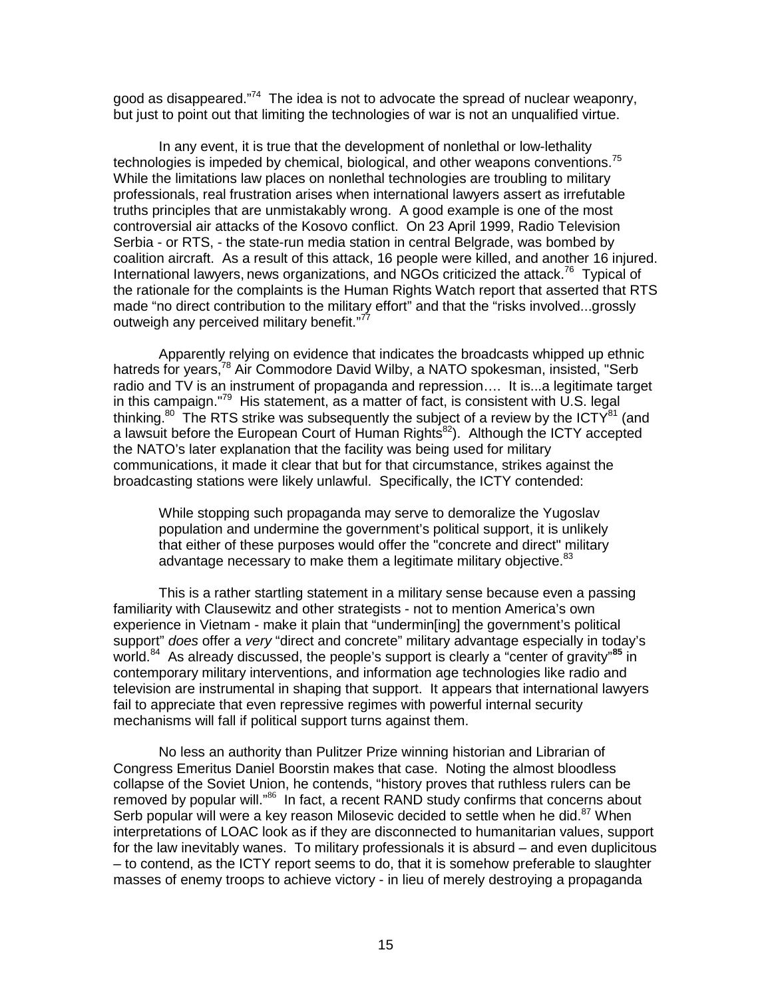good as disappeared."<sup>74</sup> The idea is not to advocate the spread of nuclear weaponry, but just to point out that limiting the technologies of war is not an unqualified virtue.

In any event, it is true that the development of nonlethal or low-lethality technologies is impeded by chemical, biological, and other weapons conventions.<sup>75</sup> While the limitations law places on nonlethal technologies are troubling to military professionals, real frustration arises when international lawyers assert as irrefutable truths principles that are unmistakably wrong. A good example is one of the most controversial air attacks of the Kosovo conflict. On 23 April 1999, Radio Television Serbia - or RTS, - the state-run media station in central Belgrade, was bombed by coalition aircraft. As a result of this attack, 16 people were killed, and another 16 injured. International lawyers, news organizations, and NGOs criticized the attack.<sup>76</sup> Typical of the rationale for the complaints is the Human Rights Watch report that asserted that RTS made "no direct contribution to the military effort" and that the "risks involved...grossly outweigh any perceived military benefit."<sup>77</sup>

Apparently relying on evidence that indicates the broadcasts whipped up ethnic hatreds for years,<sup>78</sup> Air Commodore David Wilby, a NATO spokesman, insisted, "Serb radio and TV is an instrument of propaganda and repression…. It is...a legitimate target in this campaign."<sup>79</sup> His statement, as a matter of fact, is consistent with U.S. legal thinking.<sup>80</sup> The RTS strike was subsequently the subject of a review by the ICTY<sup>81</sup> (and a lawsuit before the European Court of Human Rights<sup>82</sup>). Although the ICTY accepted the NATO's later explanation that the facility was being used for military communications, it made it clear that but for that circumstance, strikes against the broadcasting stations were likely unlawful. Specifically, the ICTY contended:

While stopping such propaganda may serve to demoralize the Yugoslav population and undermine the government's political support, it is unlikely that either of these purposes would offer the "concrete and direct" military advantage necessary to make them a legitimate military objective.<sup>83</sup>

This is a rather startling statement in a military sense because even a passing familiarity with Clausewitz and other strategists - not to mention America's own experience in Vietnam - make it plain that "undermin[ing] the government's political support" *does* offer a *very* "direct and concrete" military advantage especially in today's world.<sup>84</sup> As already discussed, the people's support is clearly a "center of gravity"<sup>85</sup> in contemporary military interventions, and information age technologies like radio and television are instrumental in shaping that support. It appears that international lawyers fail to appreciate that even repressive regimes with powerful internal security mechanisms will fall if political support turns against them.

No less an authority than Pulitzer Prize winning historian and Librarian of Congress Emeritus Daniel Boorstin makes that case. Noting the almost bloodless collapse of the Soviet Union, he contends, "history proves that ruthless rulers can be removed by popular will."<sup>86</sup> In fact, a recent RAND study confirms that concerns about Serb popular will were a key reason Milosevic decided to settle when he did.<sup>87</sup> When interpretations of LOAC look as if they are disconnected to humanitarian values, support for the law inevitably wanes. To military professionals it is absurd – and even duplicitous – to contend, as the ICTY report seems to do, that it is somehow preferable to slaughter masses of enemy troops to achieve victory - in lieu of merely destroying a propaganda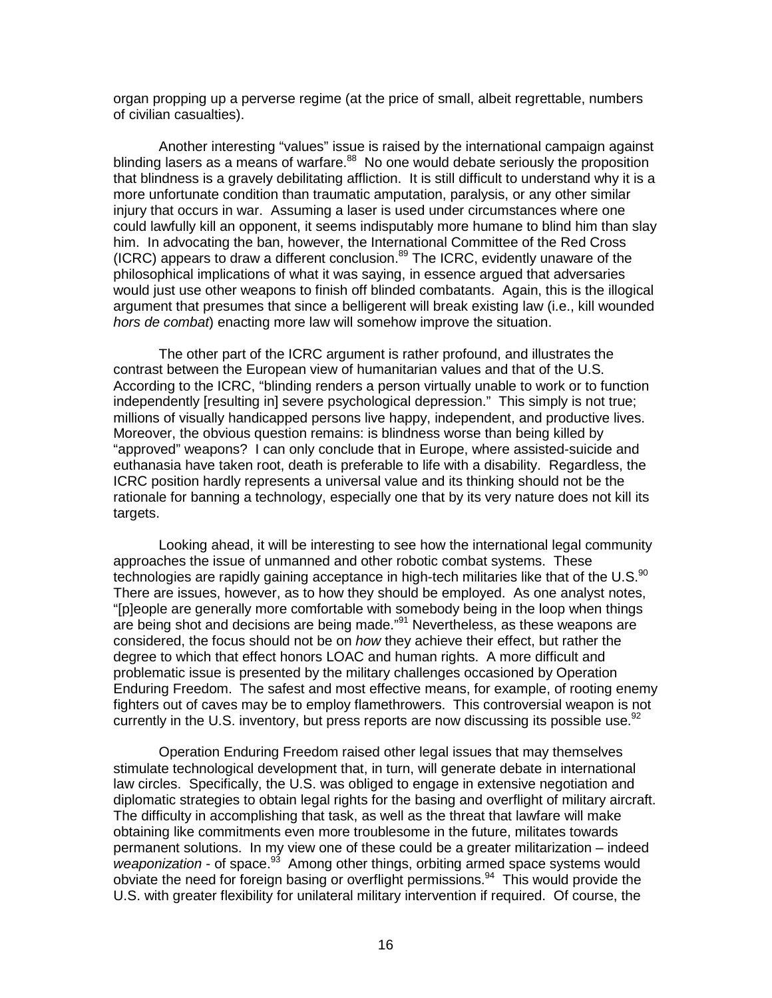organ propping up a perverse regime (at the price of small, albeit regrettable, numbers of civilian casualties).

Another interesting "values" issue is raised by the international campaign against blinding lasers as a means of warfare. $88\,$  No one would debate seriously the proposition that blindness is a gravely debilitating affliction. It is still difficult to understand why it is a more unfortunate condition than traumatic amputation, paralysis, or any other similar injury that occurs in war. Assuming a laser is used under circumstances where one could lawfully kill an opponent, it seems indisputably more humane to blind him than slay him. In advocating the ban, however, the International Committee of the Red Cross (ICRC) appears to draw a different conclusion. $89$  The ICRC, evidently unaware of the philosophical implications of what it was saying, in essence argued that adversaries would just use other weapons to finish off blinded combatants. Again, this is the illogical argument that presumes that since a belligerent will break existing law (i.e., kill wounded *hors de combat*) enacting more law will somehow improve the situation.

The other part of the ICRC argument is rather profound, and illustrates the contrast between the European view of humanitarian values and that of the U.S. According to the ICRC, "blinding renders a person virtually unable to work or to function independently [resulting in] severe psychological depression." This simply is not true; millions of visually handicapped persons live happy, independent, and productive lives. Moreover, the obvious question remains: is blindness worse than being killed by "approved" weapons? I can only conclude that in Europe, where assisted-suicide and euthanasia have taken root, death is preferable to life with a disability. Regardless, the ICRC position hardly represents a universal value and its thinking should not be the rationale for banning a technology, especially one that by its very nature does not kill its targets.

Looking ahead, it will be interesting to see how the international legal community approaches the issue of unmanned and other robotic combat systems. These technologies are rapidly gaining acceptance in high-tech militaries like that of the U.S.<sup>90</sup> There are issues, however, as to how they should be employed. As one analyst notes, "[p]eople are generally more comfortable with somebody being in the loop when things are being shot and decisions are being made."<sup>91</sup> Nevertheless, as these weapons are considered, the focus should not be on *how* they achieve their effect, but rather the degree to which that effect honors LOAC and human rights. A more difficult and problematic issue is presented by the military challenges occasioned by Operation Enduring Freedom. The safest and most effective means, for example, of rooting enemy fighters out of caves may be to employ flamethrowers. This controversial weapon is not currently in the U.S. inventory, but press reports are now discussing its possible use.  $92$ 

Operation Enduring Freedom raised other legal issues that may themselves stimulate technological development that, in turn, will generate debate in international law circles. Specifically, the U.S. was obliged to engage in extensive negotiation and diplomatic strategies to obtain legal rights for the basing and overflight of military aircraft. The difficulty in accomplishing that task, as well as the threat that lawfare will make obtaining like commitments even more troublesome in the future, militates towards permanent solutions. In my view one of these could be a greater militarization – indeed *weaponization* - of space.93 Among other things, orbiting armed space systems would obviate the need for foreign basing or overflight permissions.<sup>94</sup> This would provide the U.S. with greater flexibility for unilateral military intervention if required. Of course, the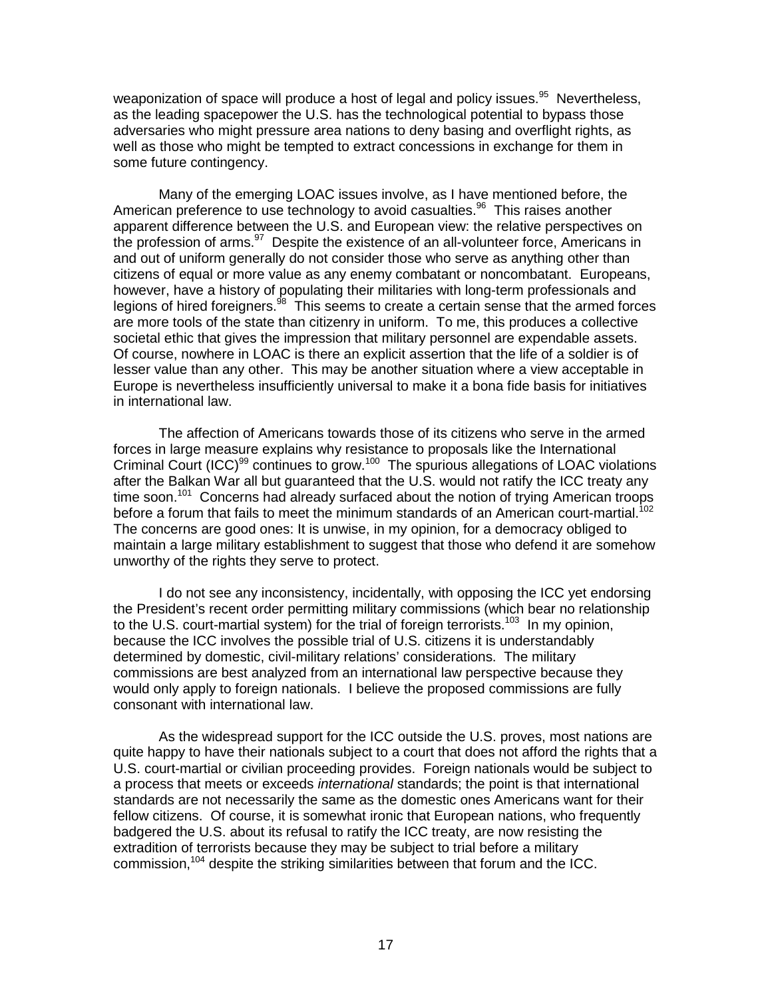weaponization of space will produce a host of legal and policy issues.<sup>95</sup> Nevertheless, as the leading spacepower the U.S. has the technological potential to bypass those adversaries who might pressure area nations to deny basing and overflight rights, as well as those who might be tempted to extract concessions in exchange for them in some future contingency.

Many of the emerging LOAC issues involve, as I have mentioned before, the American preference to use technology to avoid casualties.<sup>96</sup> This raises another apparent difference between the U.S. and European view: the relative perspectives on the profession of arms.<sup>97</sup> Despite the existence of an all-volunteer force, Americans in and out of uniform generally do not consider those who serve as anything other than citizens of equal or more value as any enemy combatant or noncombatant. Europeans, however, have a history of populating their militaries with long-term professionals and legions of hired foreigners. $98\text{ T}$  This seems to create a certain sense that the armed forces are more tools of the state than citizenry in uniform. To me, this produces a collective societal ethic that gives the impression that military personnel are expendable assets. Of course, nowhere in LOAC is there an explicit assertion that the life of a soldier is of lesser value than any other. This may be another situation where a view acceptable in Europe is nevertheless insufficiently universal to make it a bona fide basis for initiatives in international law.

The affection of Americans towards those of its citizens who serve in the armed forces in large measure explains why resistance to proposals like the International Criminal Court (ICC)<sup>99</sup> continues to grow.<sup>100</sup> The spurious allegations of LOAC violations after the Balkan War all but guaranteed that the U.S. would not ratify the ICC treaty any time soon.<sup>101</sup> Concerns had already surfaced about the notion of trying American troops before a forum that fails to meet the minimum standards of an American court-martial.<sup>102</sup> The concerns are good ones: It is unwise, in my opinion, for a democracy obliged to maintain a large military establishment to suggest that those who defend it are somehow unworthy of the rights they serve to protect.

I do not see any inconsistency, incidentally, with opposing the ICC yet endorsing the President's recent order permitting military commissions (which bear no relationship to the U.S. court-martial system) for the trial of foreign terrorists.<sup>103</sup> In my opinion, because the ICC involves the possible trial of U.S. citizens it is understandably determined by domestic, civil-military relations' considerations. The military commissions are best analyzed from an international law perspective because they would only apply to foreign nationals. I believe the proposed commissions are fully consonant with international law.

As the widespread support for the ICC outside the U.S. proves, most nations are quite happy to have their nationals subject to a court that does not afford the rights that a U.S. court-martial or civilian proceeding provides. Foreign nationals would be subject to a process that meets or exceeds *international* standards; the point is that international standards are not necessarily the same as the domestic ones Americans want for their fellow citizens. Of course, it is somewhat ironic that European nations, who frequently badgered the U.S. about its refusal to ratify the ICC treaty, are now resisting the extradition of terrorists because they may be subject to trial before a military commission,<sup>104</sup> despite the striking similarities between that forum and the ICC.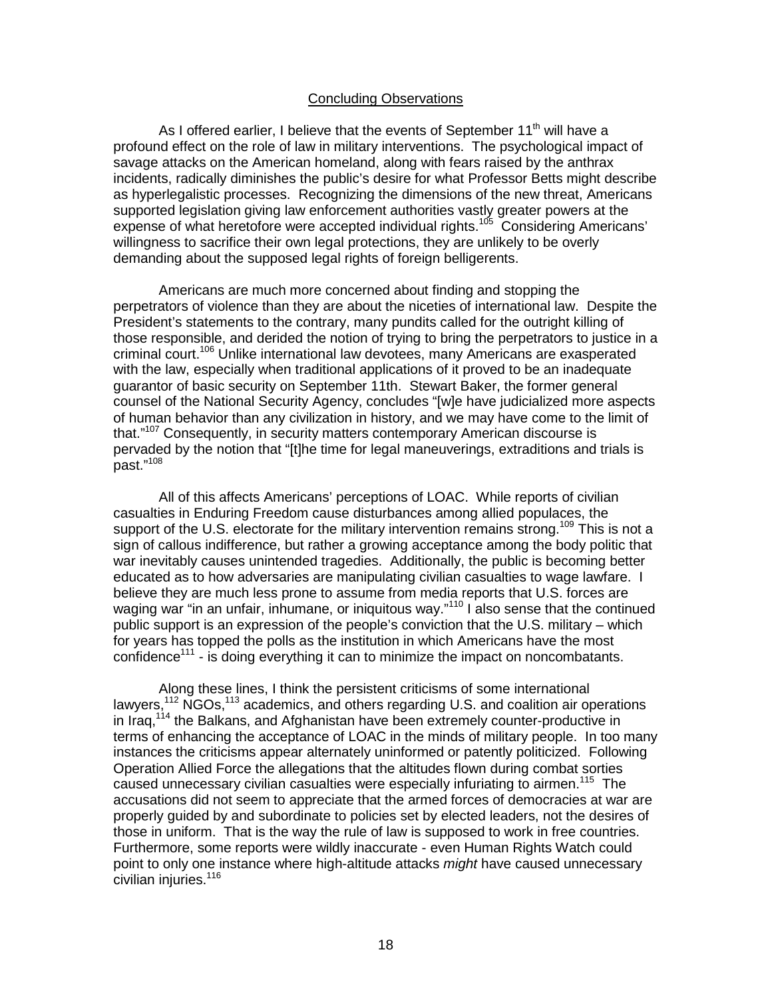## Concluding Observations

As I offered earlier, I believe that the events of September  $11<sup>th</sup>$  will have a profound effect on the role of law in military interventions. The psychological impact of savage attacks on the American homeland, along with fears raised by the anthrax incidents, radically diminishes the public's desire for what Professor Betts might describe as hyperlegalistic processes. Recognizing the dimensions of the new threat, Americans supported legislation giving law enforcement authorities vastly greater powers at the expense of what heretofore were accepted individual rights.<sup>105</sup> Considering Americans' willingness to sacrifice their own legal protections, they are unlikely to be overly demanding about the supposed legal rights of foreign belligerents.

Americans are much more concerned about finding and stopping the perpetrators of violence than they are about the niceties of international law. Despite the President's statements to the contrary, many pundits called for the outright killing of those responsible, and derided the notion of trying to bring the perpetrators to justice in a criminal court.106 Unlike international law devotees, many Americans are exasperated with the law, especially when traditional applications of it proved to be an inadequate guarantor of basic security on September 11th. Stewart Baker, the former general counsel of the National Security Agency, concludes "[w]e have judicialized more aspects of human behavior than any civilization in history, and we may have come to the limit of that."<sup>107</sup> Consequently, in security matters contemporary American discourse is pervaded by the notion that "[t]he time for legal maneuverings, extraditions and trials is past."108

All of this affects Americans' perceptions of LOAC. While reports of civilian casualties in Enduring Freedom cause disturbances among allied populaces, the support of the U.S. electorate for the military intervention remains strong.<sup>109</sup> This is not a sign of callous indifference, but rather a growing acceptance among the body politic that war inevitably causes unintended tragedies. Additionally, the public is becoming better educated as to how adversaries are manipulating civilian casualties to wage lawfare. I believe they are much less prone to assume from media reports that U.S. forces are waging war "in an unfair, inhumane, or iniquitous way."<sup>110</sup> I also sense that the continued public support is an expression of the people's conviction that the U.S. military – which for years has topped the polls as the institution in which Americans have the most confidence<sup>111</sup> - is doing everything it can to minimize the impact on noncombatants.

Along these lines, I think the persistent criticisms of some international lawyers,  $112$  NGOs,  $113$  academics, and others regarding U.S. and coalition air operations in Iraq,<sup>114</sup> the Balkans, and Afghanistan have been extremely counter-productive in terms of enhancing the acceptance of LOAC in the minds of military people. In too many instances the criticisms appear alternately uninformed or patently politicized. Following Operation Allied Force the allegations that the altitudes flown during combat sorties caused unnecessary civilian casualties were especially infuriating to airmen.<sup>115</sup> The accusations did not seem to appreciate that the armed forces of democracies at war are properly guided by and subordinate to policies set by elected leaders, not the desires of those in uniform. That is the way the rule of law is supposed to work in free countries. Furthermore, some reports were wildly inaccurate - even Human Rights Watch could point to only one instance where high-altitude attacks *might* have caused unnecessary civilian injuries.<sup>116</sup>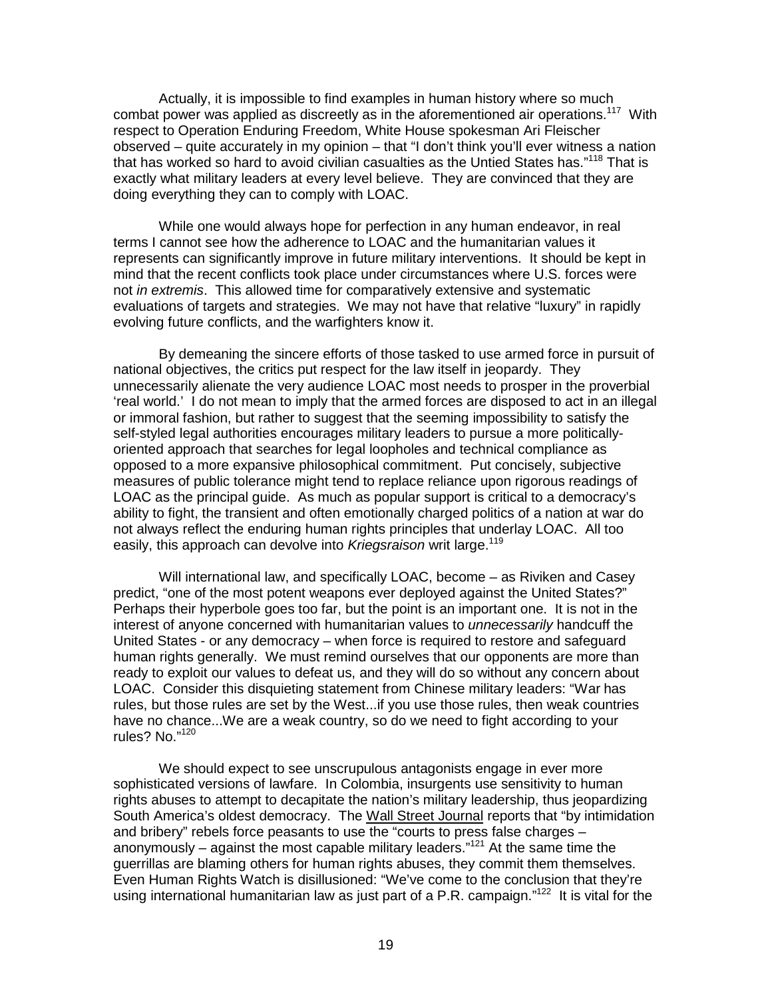Actually, it is impossible to find examples in human history where so much combat power was applied as discreetly as in the aforementioned air operations.<sup>117</sup> With respect to Operation Enduring Freedom, White House spokesman Ari Fleischer observed – quite accurately in my opinion – that "I don't think you'll ever witness a nation that has worked so hard to avoid civilian casualties as the Untied States has."<sup>118</sup> That is exactly what military leaders at every level believe. They are convinced that they are doing everything they can to comply with LOAC.

While one would always hope for perfection in any human endeavor, in real terms I cannot see how the adherence to LOAC and the humanitarian values it represents can significantly improve in future military interventions. It should be kept in mind that the recent conflicts took place under circumstances where U.S. forces were not *in extremis*. This allowed time for comparatively extensive and systematic evaluations of targets and strategies. We may not have that relative "luxury" in rapidly evolving future conflicts, and the warfighters know it.

By demeaning the sincere efforts of those tasked to use armed force in pursuit of national objectives, the critics put respect for the law itself in jeopardy. They unnecessarily alienate the very audience LOAC most needs to prosper in the proverbial 'real world.' I do not mean to imply that the armed forces are disposed to act in an illegal or immoral fashion, but rather to suggest that the seeming impossibility to satisfy the self-styled legal authorities encourages military leaders to pursue a more politicallyoriented approach that searches for legal loopholes and technical compliance as opposed to a more expansive philosophical commitment. Put concisely, subjective measures of public tolerance might tend to replace reliance upon rigorous readings of LOAC as the principal guide. As much as popular support is critical to a democracy's ability to fight, the transient and often emotionally charged politics of a nation at war do not always reflect the enduring human rights principles that underlay LOAC. All too easily, this approach can devolve into *Kriegsraison* writ large.<sup>119</sup>

Will international law, and specifically LOAC, become – as Riviken and Casey predict, "one of the most potent weapons ever deployed against the United States?" Perhaps their hyperbole goes too far, but the point is an important one. It is not in the interest of anyone concerned with humanitarian values to *unnecessarily* handcuff the United States - or any democracy – when force is required to restore and safeguard human rights generally. We must remind ourselves that our opponents are more than ready to exploit our values to defeat us, and they will do so without any concern about LOAC. Consider this disquieting statement from Chinese military leaders: "War has rules, but those rules are set by the West...if you use those rules, then weak countries have no chance...We are a weak country, so do we need to fight according to your rules? No."120

We should expect to see unscrupulous antagonists engage in ever more sophisticated versions of lawfare. In Colombia, insurgents use sensitivity to human rights abuses to attempt to decapitate the nation's military leadership, thus jeopardizing South America's oldest democracy. The Wall Street Journal reports that "by intimidation and bribery" rebels force peasants to use the "courts to press false charges – anonymously – against the most capable military leaders." $121$  At the same time the guerrillas are blaming others for human rights abuses, they commit them themselves. Even Human Rights Watch is disillusioned: "We've come to the conclusion that they're using international humanitarian law as just part of a P.R. campaign."<sup>122</sup> It is vital for the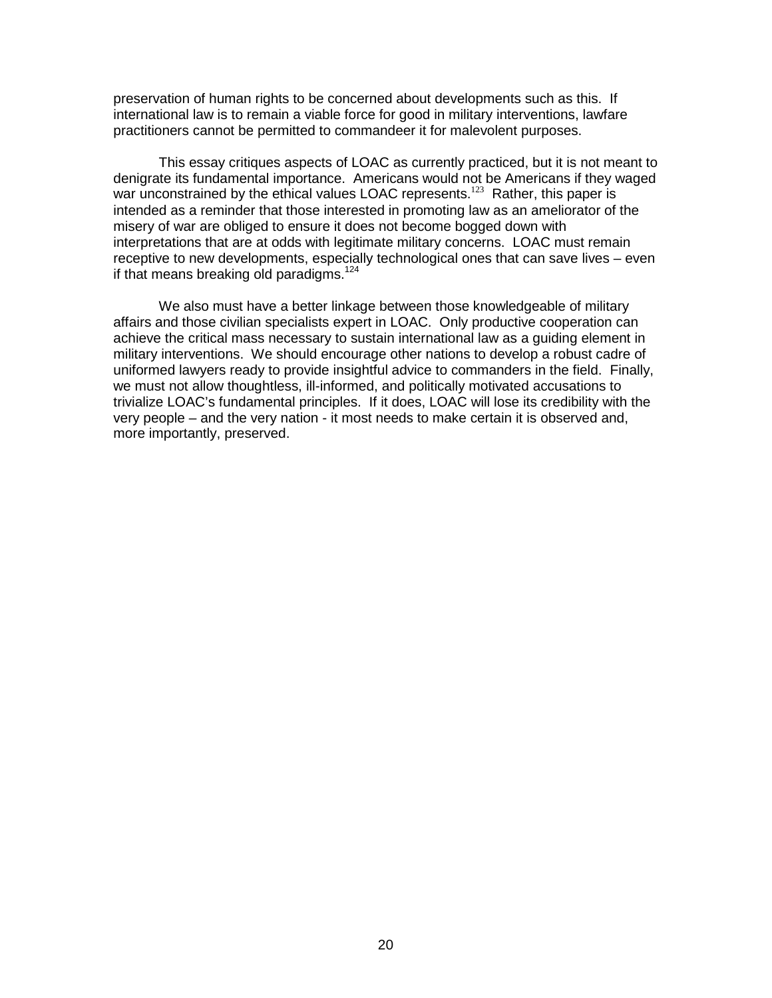preservation of human rights to be concerned about developments such as this. If international law is to remain a viable force for good in military interventions, lawfare practitioners cannot be permitted to commandeer it for malevolent purposes.

This essay critiques aspects of LOAC as currently practiced, but it is not meant to denigrate its fundamental importance. Americans would not be Americans if they waged war unconstrained by the ethical values LOAC represents.<sup>123</sup> Rather, this paper is intended as a reminder that those interested in promoting law as an ameliorator of the misery of war are obliged to ensure it does not become bogged down with interpretations that are at odds with legitimate military concerns. LOAC must remain receptive to new developments, especially technological ones that can save lives – even if that means breaking old paradigms.<sup>124</sup>

We also must have a better linkage between those knowledgeable of military affairs and those civilian specialists expert in LOAC. Only productive cooperation can achieve the critical mass necessary to sustain international law as a guiding element in military interventions. We should encourage other nations to develop a robust cadre of uniformed lawyers ready to provide insightful advice to commanders in the field. Finally, we must not allow thoughtless, ill-informed, and politically motivated accusations to trivialize LOAC's fundamental principles. If it does, LOAC will lose its credibility with the very people – and the very nation - it most needs to make certain it is observed and, more importantly, preserved.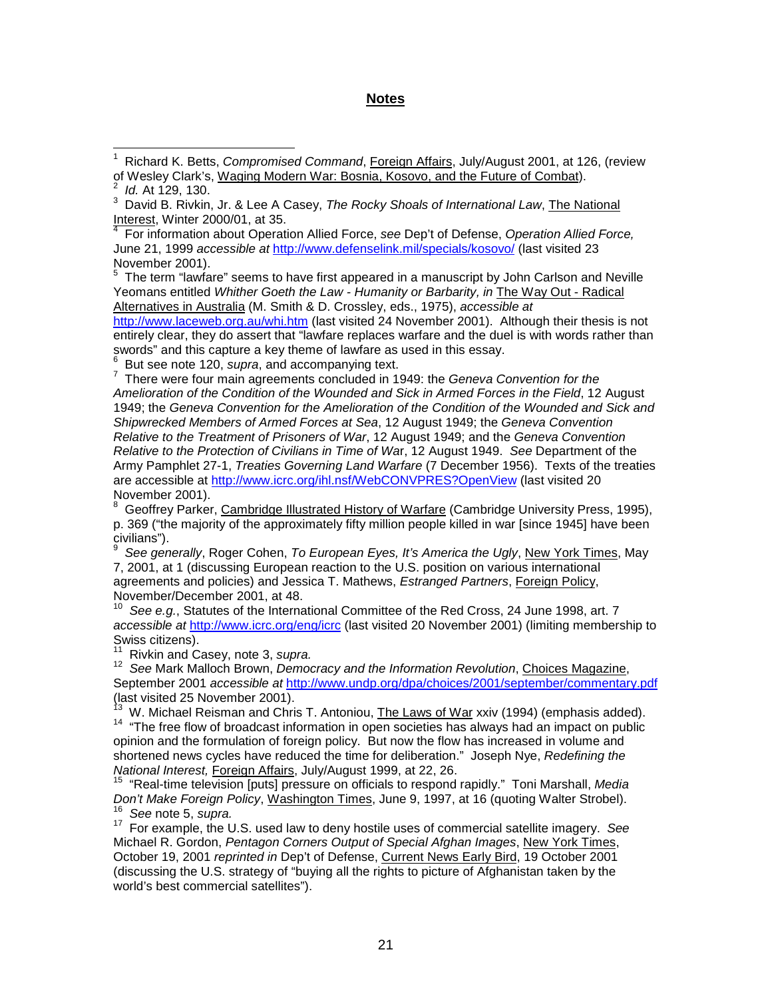# **Notes**

Interest, Winter 2000/01, at 35. 4 For information about Operation Allied Force, *see* Dep't of Defense, *Operation Allied Force,* June 21, 1999 *accessible at* http://www.defenselink.mil/specials/kosovo/ (last visited 23 November 2001).

 $5$  The term "lawfare" seems to have first appeared in a manuscript by John Carlson and Neville Yeomans entitled *Whither Goeth the Law - Humanity or Barbarity, in* The Way Out - Radical Alternatives in Australia (M. Smith & D. Crossley, eds., 1975), *accessible at*

http://www.laceweb.org.au/whi.htm (last visited 24 November 2001). Although their thesis is not entirely clear, they do assert that "lawfare replaces warfare and the duel is with words rather than swords" and this capture a key theme of lawfare as used in this essay.<br><sup>6</sup> But see note 120, *supra*, and accompanying text.

6

 $^{\circ}$  But see note 120, *supra*, and accompanying text.<br><sup>7</sup> There were four main agreements concluded in 1949: the *Geneva Convention for the Amelioration of the Condition of the Wounded and Sick in Armed Forces in the Field*, 12 August 1949; the *Geneva Convention for the Amelioration of the Condition of the Wounded and Sick and Shipwrecked Members of Armed Forces at Sea*, 12 August 1949; the *Geneva Convention Relative to the Treatment of Prisoners of War*, 12 August 1949; and the *Geneva Convention Relative to the Protection of Civilians in Time of Wa*r, 12 August 1949. *See* Department of the Army Pamphlet 27-1, *Treaties Governing Land Warfare* (7 December 1956). Texts of the treaties are accessible at http://www.icrc.org/ihl.nsf/WebCONVPRES?OpenView (last visited 20 November 2001).

8 Geoffrey Parker, Cambridge Illustrated History of Warfare (Cambridge University Press, 1995), p. 369 ("the majority of the approximately fifty million people killed in war [since 1945] have been civilians").

9 *See generally*, Roger Cohen, *To European Eyes, It's America the Ugly*, New York Times, May 7, 2001, at 1 (discussing European reaction to the U.S. position on various international agreements and policies) and Jessica T. Mathews, *Estranged Partners*, Foreign Policy, November/December 2001, at 48.

See e.g., Statutes of the International Committee of the Red Cross, 24 June 1998, art. 7 *accessible at* http://www.icrc.org/eng/icrc (last visited 20 November 2001) (limiting membership to Swiss citizens).<br><sup>11</sup> Rivkin and Casey, note 3, supra.

11 Rivkin and Casey, note 3, *supra.* <sup>12</sup>*See* Mark Malloch Brown, *Democracy and the Information Revolution*, Choices Magazine, September 2001 *accessible at* http://www.undp.org/dpa/choices/2001/september/commentary.pdf (last visited 25 November 2001).

 $^{13}$  W. Michael Reisman and Chris T. Antoniou, <u>The Laws of War</u> xxiv (1994) (emphasis added).<br><sup>14</sup> "The free flow of broadcast information in open societies has always had an impact on public opinion and the formulation of foreign policy. But now the flow has increased in volume and shortened news cycles have reduced the time for deliberation." Joseph Nye, *Redefining the*

*National Interest, <u>Foreign Affairs</u>, July/August 1999, at 22, 26.*<br><sup>15</sup> "Real-time television [puts] pressure on officials to respond rapidly." Toni Marshall, *Media*<br>*Don't Make Foreign Policy*, Washington Times, June 9 <sup>16</sup> See note 5, supra.<br><sup>17</sup> For example, the U.S. used law to deny hostile uses of commercial satellite imagery. See

Michael R. Gordon, *Pentagon Corners Output of Special Afghan Images*, New York Times, October 19, 2001 *reprinted in* Dep't of Defense, Current News Early Bird, 19 October 2001 (discussing the U.S. strategy of "buying all the rights to picture of Afghanistan taken by the world's best commercial satellites").

<sup>1</sup> Richard K. Betts, *Compromised Command*, Foreign Affairs, July/August 2001, at 126, (review of Wesley Clark's, Waging Modern War: Bosnia, Kosovo, and the Future of Combat).

<sup>2</sup> *Id.* At 129, 130.

<sup>3</sup> David B. Rivkin, Jr. & Lee A Casey, *The Rocky Shoals of International Law*, The National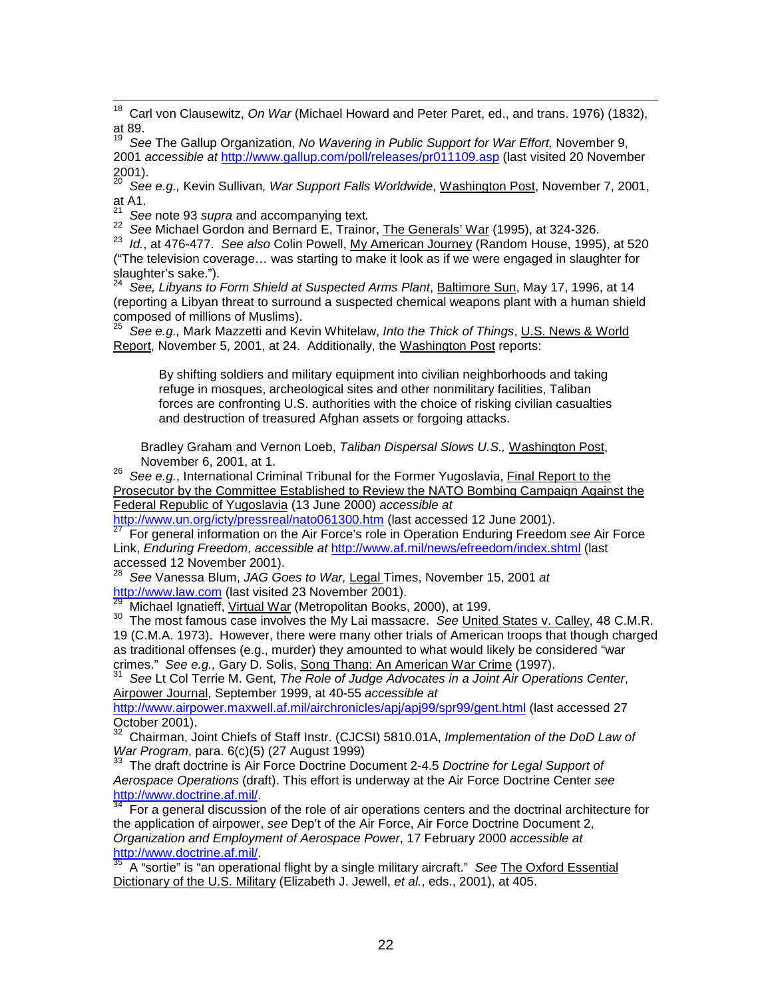18 Carl von Clausewitz, *On War* (Michael Howard and Peter Paret, ed., and trans. 1976) (1832), at 89.

19 *See* The Gallup Organization, *No Wavering in Public Support for War Effort,* November 9, 2001 *accessible at* http://www.gallup.com/poll/releases/pr011109.asp (last visited 20 November  $2001$ ).

20 *See e.g.,* Kevin Sullivan*, War Support Falls Worldwide*, Washington Post, November 7, 2001, at A1.  $\frac{21}{1}$  See note 93 supra and accompanying text.

22 See Michael Gordon and Bernard E, Trainor, The Generals' War (1995), at 324-326.<br>23 Id., at 476-477. See also Colin Powell, My American Journey (Random House, 1995), at 520 ("The television coverage… was starting to make it look as if we were engaged in slaughter for slaughter's sake.").

24 *See, Libyans to Form Shield at Suspected Arms Plant*, Baltimore Sun, May 17, 1996, at 14 (reporting a Libyan threat to surround a suspected chemical weapons plant with a human shield composed of millions of Muslims).

25 *See e.g.,* Mark Mazzetti and Kevin Whitelaw, *Into the Thick of Things*, U.S. News & World Report, November 5, 2001, at 24. Additionally, the Washington Post reports:

By shifting soldiers and military equipment into civilian neighborhoods and taking refuge in mosques, archeological sites and other nonmilitary facilities, Taliban forces are confronting U.S. authorities with the choice of risking civilian casualties and destruction of treasured Afghan assets or forgoing attacks.

Bradley Graham and Vernon Loeb, *Taliban Dispersal Slows U.S.,* Washington Post, November 6, 2001, at 1.

<sup>26</sup> See e.a., International Criminal Tribunal for the Former Yugoslavia, Final Report to the Prosecutor by the Committee Established to Review the NATO Bombing Campaign Against the Federal Republic of Yugoslavia (13 June 2000) *accessible at*

For general information on the Air Force's role in Operation Enduring Freedom see Air Force Link, *Enduring Freedom*, *accessible at* http://www.af.mil/news/efreedom/index.shtml (last accessed 12 November 2001).

<sup>28</sup> See Vanessa Blum, *JAG Goes to War*, <u>Legal</u> Times, November 15, 2001 *at*<br>http://www.law.com (last visited 23 November 2001).<br><sup>29</sup> Mishael Imatists With all West (11 to 2001).

<sup>29</sup> Michael Ignatieff, <u>Virtual War</u> (Metropolitan Books, 2000), at 199.<br><sup>30</sup> The most famous case involves the My Lai massacre. *See <u>United States v. Calley,</u> 48 C.M.R.* 19 (C.M.A. 1973). However, there were many other trials of American troops that though charged as traditional offenses (e.g., murder) they amounted to what would likely be considered "war crimes." *See e.g., Gary D. Solis, <u>Song Thang: An American War Crime</u> (1997).<br><sup>31</sup> See Lt Col Terrie M. Gent, <i>The Role of Judge Advocates in a Joint Air Operations Center*,

Airpower Journal, September 1999, at 40-55 *accessible at*

http://www.airpower.maxwell.af.mil/airchronicles/apj/apj99/spr99/gent.html (last accessed 27 October 2001).

32 Chairman, Joint Chiefs of Staff Instr. (CJCSI) 5810.01A, *Implementation of the DoD Law of War Program*, para. 6(c)(5) (27 August 1999)<br><sup>33</sup> The draft doctrine is Air Force Doctrine Document 2-4.5 *Doctrine for Legal Support of* 

*Aerospace Operations* (draft). This effort is underway at the Air Force Doctrine Center see http://www.doctrine.af.mil/.

For a general discussion of the role of air operations centers and the doctrinal architecture for the application of airpower, *see* Dep't of the Air Force, Air Force Doctrine Document 2, *Organization and Employment of Aerospace Power*, 17 February 2000 *accessible at*

http://www.doctrine.af.mil/. 35 A "sortie" is "an operational flight by a single military aircraft." *See* The Oxford Essential Dictionary of the U.S. Military (Elizabeth J. Jewell, *et al.*, eds., 2001), at 405.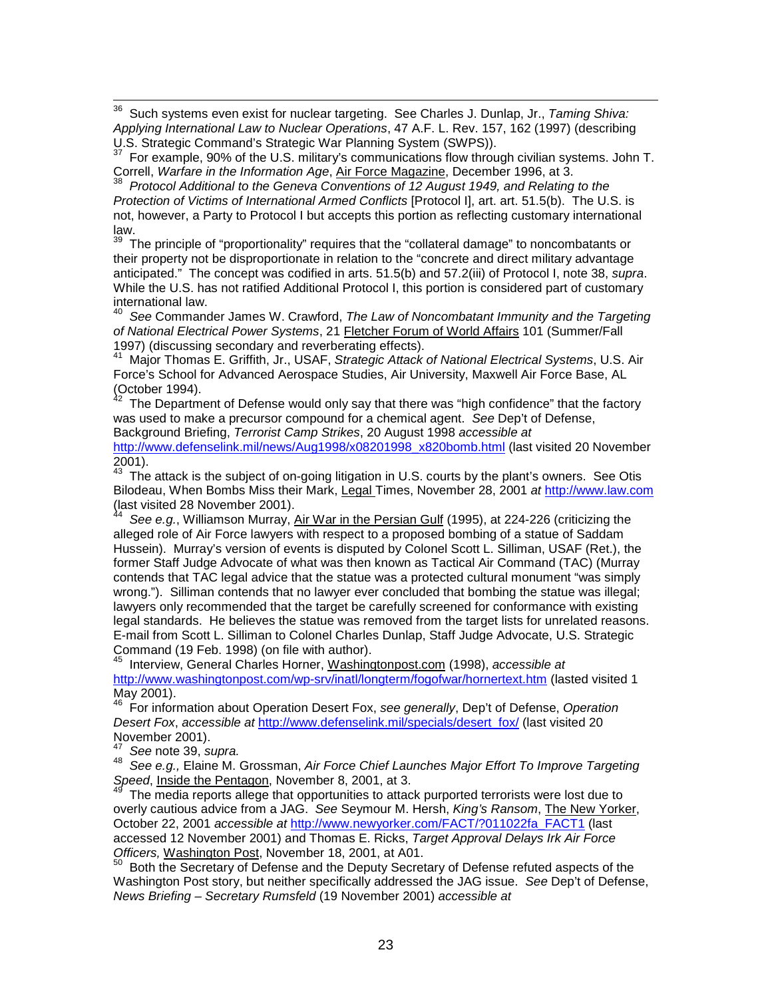36 Such systems even exist for nuclear targeting. See Charles J. Dunlap, Jr., *Taming Shiva: Applying International Law to Nuclear Operations*, 47 A.F. L. Rev. 157, 162 (1997) (describing U.S. Strategic Command's Strategic War Planning System (SWPS)).

 $37$  For example, 90% of the U.S. military's communications flow through civilian systems. John T.<br>Correll, Warfare in the Information Age, Air Force Magazine, December 1996, at 3.

Correll, *Warfare in the Information Age*, Air Force Magazine, December 1996, at 3. <sup>38</sup>*Protocol Additional to the Geneva Conventions of 12 August 1949, and Relating to the Protection of Victims of International Armed Conflicts* [Protocol I], art. art. 51.5(b). The U.S. is not, however, a Party to Protocol I but accepts this portion as reflecting customary international law.

The principle of "proportionality" requires that the "collateral damage" to noncombatants or their property not be disproportionate in relation to the "concrete and direct military advantage anticipated." The concept was codified in arts. 51.5(b) and 57.2(iii) of Protocol I, note 38, *supra*. While the U.S. has not ratified Additional Protocol I, this portion is considered part of customary international law.

40 *See* Commander James W. Crawford, *The Law of Noncombatant Immunity and the Targeting of National Electrical Power Systems*, 21 Fletcher Forum of World Affairs 101 (Summer/Fall 1997) (discussing secondary and reverberating effects).

41 Major Thomas E. Griffith, Jr., USAF, *Strategic Attack of National Electrical Systems*, U.S. Air Force's School for Advanced Aerospace Studies, Air University, Maxwell Air Force Base, AL (October 1994).

The Department of Defense would only say that there was "high confidence" that the factory was used to make a precursor compound for a chemical agent. *See* Dep't of Defense, Background Briefing, *Terrorist Camp Strikes*, 20 August 1998 *accessible at*

http://www.defenselink.mil/news/Aug1998/x08201998\_x820bomb.html (last visited 20 November 2001).

 $43$  The attack is the subject of on-going litigation in U.S. courts by the plant's owners. See Otis Bilodeau, When Bombs Miss their Mark, Legal Times, November 28, 2001 *at* http://www.law.com (last visited 28 November 2001).

44 *See e.g.*, Williamson Murray, Air War in the Persian Gulf (1995), at 224-226 (criticizing the alleged role of Air Force lawyers with respect to a proposed bombing of a statue of Saddam Hussein). Murray's version of events is disputed by Colonel Scott L. Silliman, USAF (Ret.), the former Staff Judge Advocate of what was then known as Tactical Air Command (TAC) (Murray contends that TAC legal advice that the statue was a protected cultural monument "was simply wrong."). Silliman contends that no lawyer ever concluded that bombing the statue was illegal; lawyers only recommended that the target be carefully screened for conformance with existing legal standards. He believes the statue was removed from the target lists for unrelated reasons. E-mail from Scott L. Silliman to Colonel Charles Dunlap, Staff Judge Advocate, U.S. Strategic Command (19 Feb. 1998) (on file with author).

45 Interview, General Charles Horner, Washingtonpost.com (1998), *accessible at* http://www.washingtonpost.com/wp-srv/inatl/longterm/fogofwar/hornertext.htm (lasted visited 1 May 2001).

46 For information about Operation Desert Fox, *see generally*, Dep't of Defense, *Operation Desert Fox*, *accessible at* http://www.defenselink.mil/specials/desert\_fox/ (last visited 20 November 2001).<br><sup>47</sup> See note 39, supra.

<sup>47</sup>*See* note 39, *supra.* <sup>48</sup>*See e.g.,* Elaine M. Grossman, *Air Force Chief Launches Major Effort To Improve Targeting*

The media reports allege that opportunities to attack purported terrorists were lost due to overly cautious advice from a JAG. *See* Seymour M. Hersh, *King's Ransom*, The New Yorker, October 22, 2001 *accessible at* http://www.newyorker.com/FACT/?011022fa\_FACT1 (last accessed 12 November 2001) and Thomas E. Ricks, *Target Approval Delays Irk Air Force*

<sup>50</sup> Both the Secretary of Defense and the Deputy Secretary of Defense refuted aspects of the Washington Post story, but neither specifically addressed the JAG issue. *See* Dep't of Defense, *News Briefing – Secretary Rumsfeld* (19 November 2001) *accessible at*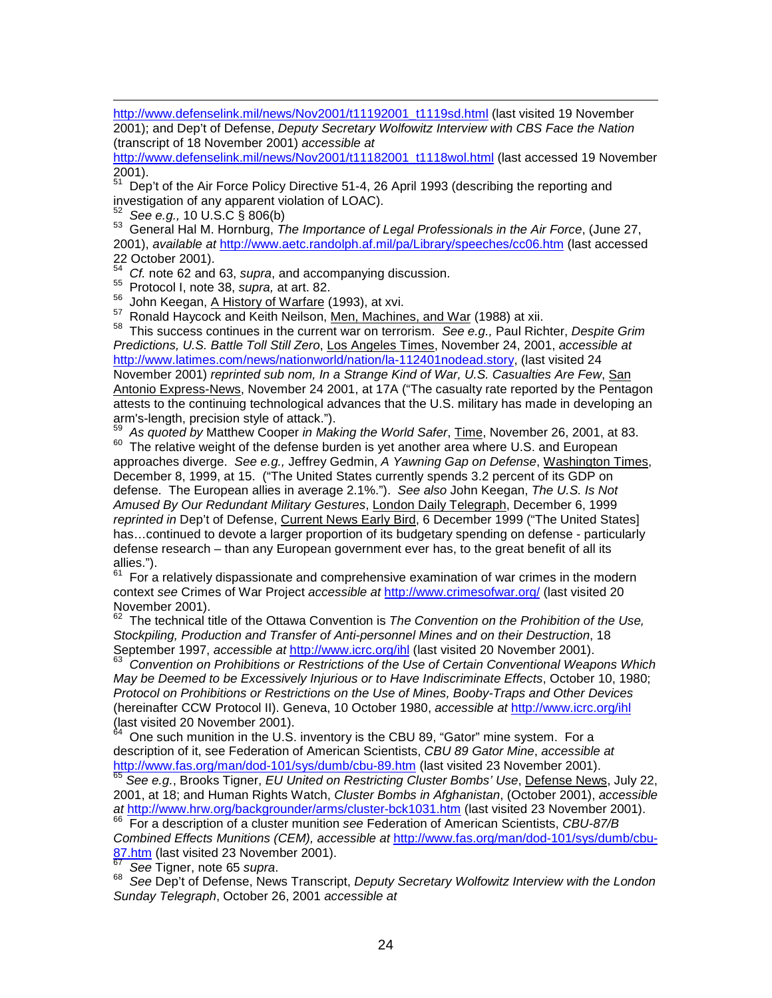http://www.defenselink.mil/news/Nov2001/t11192001\_t1119sd.html (last visited 19 November 2001); and Dep't of Defense, *Deputy Secretary Wolfowitz Interview with CBS Face the Nation* (transcript of 18 November 2001) *accessible at*

http://www.defenselink.mil/news/Nov2001/t11182001\_t1118wol.html (last accessed 19 November  $2001$ ).

51 Dep't of the Air Force Policy Directive 51-4, 26 April 1993 (describing the reporting and investigation of any apparent violation of LOAC).<br><sup>52</sup> See e.g., 10 U.S.C § 806(b)

-

53 General Hal M. Hornburg, The Importance of Legal Professionals in the Air Force, (June 27, 2001), *available at* http://www.aetc.randolph.af.mil/pa/Library/speeches/cc06.htm (last accessed 22 October 2001).

54 *Cf.* note 62 and 63, *supra*, and accompanying discussion.<br><sup>55</sup> Protocol I, note 38, *supra,* at art. 82.<br><sup>56</sup> John Keegan, A His<u>tory of Warfare</u> (1993), at xvi.

57 Ronald Haycock and Keith Neilson, Men, Machines, and War (1988) at xii.

58 This success continues in the current war on terrorism. *See e.g.,* Paul Richter, *Despite Grim Predictions, U.S. Battle Toll Still Zero*, Los Angeles Times, November 24, 2001, *accessible at* http://www.latimes.com/news/nationworld/nation/la-112401nodead.story, (last visited 24 November 2001) *reprinted sub nom, In a Strange Kind of War, U.S. Casualties Are Few*, San Antonio Express-News, November 24 2001, at 17A ("The casualty rate reported by the Pentagon attests to the continuing technological advances that the U.S. military has made in developing an arm's-length, precision style of attack.").

59 *As quoted by* Matthew Cooper *in Making the World Safer*, Time, November 26, 2001, at 83. <sup>60</sup> The relative weight of the defense burden is yet another area where U.S. and European approaches diverge. *See e.g.,* Jeffrey Gedmin, *A Yawning Gap on Defense*, Washington Times, December 8, 1999, at 15. ("The United States currently spends 3.2 percent of its GDP on defense. The European allies in average 2.1%."). *See also* John Keegan, *The U.S. Is Not Amused By Our Redundant Military Gestures*, London Daily Telegraph, December 6, 1999 *reprinted in* Dep't of Defense, Current News Early Bird, 6 December 1999 ("The United States] has…continued to devote a larger proportion of its budgetary spending on defense - particularly defense research – than any European government ever has, to the great benefit of all its allies.").

 $61$  For a relatively dispassionate and comprehensive examination of war crimes in the modern context *see* Crimes of War Project *accessible at* http://www.crimesofwar.org/ (last visited 20 November 2001).

62 The technical title of the Ottawa Convention is *The Convention on the Prohibition of the Use, Stockpiling, Production and Transfer of Anti-personnel Mines and on their Destruction*, 18 September 1997, *accessible at* http://www.icrc.org/ihl (last visited 20 November 2001).<br><sup>63</sup> Convention on Prohibitions or Restrictions of the Use of Certain Conventional Weapons Which

*May be Deemed to be Excessively Injurious or to Have Indiscriminate Effects*, October 10, 1980; *Protocol on Prohibitions or Restrictions on the Use of Mines, Booby-Traps and Other Devices* (hereinafter CCW Protocol II). Geneva, 10 October 1980, *accessible at* http://www.icrc.org/ihl (last visited 20 November 2001).

<sup>64</sup> One such munition in the U.S. inventory is the CBU 89, "Gator" mine system. For a description of it, see Federation of American Scientists, *CBU 89 Gator Mine*, *accessible at* http://www.fas.org/man/dod-101/sys/dumb/cbu-89.htm (last visited 23 November 2001).<br><sup>65</sup> *See e.g.*, Brooks Tigner, *EU United on Restricting Cluster Bombs' Use*, <u>Defense News</u>, July 22,

2001, at 18; and Human Rights Watch, *Cluster Bombs in Afghanistan*, (October 2001), *accessible*

<sup>66</sup> For a description of a cluster munition *see* Federation of American Scientists, *CBU-87/B Combined Effects Munitions (CEM), accessible at http://www.fas.org/man/dod-101/sys/dumb/cbu-<br>87.htm (last visited 23 November 2001).*<br><sup>87</sup>. Des Times with 25

<sup>67</sup> See Tigner, note 65 *supra*.<br><sup>68</sup> See Dep't of Defense, News Transcript, *Deputy Secretary Wolfowitz Interview with the London Sunday Telegraph*, October 26, 2001 *accessible at*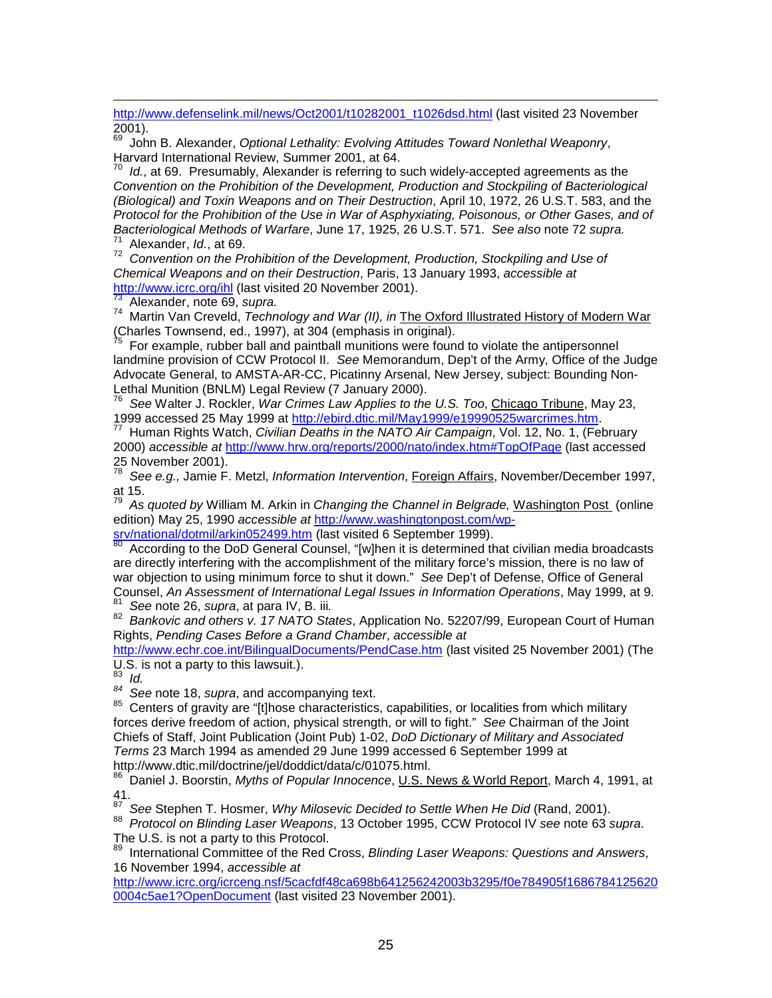http://www.defenselink.mil/news/Oct2001/t10282001\_t1026dsd.html (last visited 23 November 2001).

69 John B. Alexander, *Optional Lethality: Evolving Attitudes Toward Nonlethal Weaponry*, Harvard International Review, Summer 2001, at 64.

70 *Id.*, at 69. Presumably, Alexander is referring to such widely-accepted agreements as the *Convention on the Prohibition of the Development, Production and Stockpiling of Bacteriological (Biological) and Toxin Weapons and on Their Destruction*, April 10, 1972, 26 U.S.T. 583, and the *Protocol for the Prohibition of the Use in War of Asphyxiating, Poisonous, or Other Gases, and of Bacteriological Methods of Warfare*, June 17, 1925, 26 U.S.T. 571. *See also* note 72 *supra.*<br><sup>71</sup> Alexander, *Id.*, at 69.

72 *Convention on the Prohibition of the Development, Production, Stockpiling and Use of Chemical Weapons and on their Destruction*, Paris, 13 January 1993, *accessible at*

<sup>73</sup> Alexander, note 69, *supra.*<br><sup>74</sup> Martin Van Creveld, *Technology and War (II), in* The Oxford Illustrated History of Modern War (Charles Townsend, ed., 1997), at 304 (emphasis in original).

75 For example, rubber ball and paintball munitions were found to violate the antipersonnel landmine provision of CCW Protocol II. *See* Memorandum, Dep't of the Army, Office of the Judge Advocate General, to AMSTA-AR-CC, Picatinny Arsenal, New Jersey, subject: Bounding Non-Lethal Munition (BNLM) Legal Review (7 January 2000).

<sup>76</sup> See Walter J. Rockler, *War Crimes Law Applies to the U.S. Too*, Chicago Tribune, May 23,<br>1999 accessed 25 May 1999 at http://ebird.dtic.mil/May1999/e19990525warcrimes.htm.

<sup>77</sup> Human Rights Watch, *Civilian Deaths in the NATO Air Campaign*, Vol. 12, No. 1, (February 2000) *accessible at* http://www.hrw.org/reports/2000/nato/index.htm#TopOfPage (last accessed 25 November 2001).

78 *See e.g.,* Jamie F. Metzl, *Information Intervention*, Foreign Affairs, November/December 1997, at 15.

79 *As quoted by* William M. Arkin in *Changing the Channel in Belgrade,* Washington Post (online edition) May 25, 1990 *accessible at* http://www.washingtonpost.com/wp-<br>sry/national/dotmil/arkin052499.htm (last visited 6 September 1999).

According to the DoD General Counsel, "[w]hen it is determined that civilian media broadcasts are directly interfering with the accomplishment of the military force's mission, there is no law of war objection to using minimum force to shut it down." *See* Dep't of Defense, Office of General

<sup>81</sup> See note 26, s*upra*, at para IV, B. iii.<br><sup>82</sup> Bankovic and others v. 17 NATO States, Application No. 52207/99, European Court of Human Rights, *Pending Cases Before a Grand Chamber*, *accessible at*

http://www.echr.coe.int/BilingualDocuments/PendCase.htm (last visited 25 November 2001) (The U.S. is not a party to this lawsuit.).

83 *Id.*

<sup>84</sup> See note 18, *supra*, and accompanying text.<br><sup>85</sup> Centers of gravity are "[t]hose characteristics, capabilities, or localities from which military forces derive freedom of action, physical strength, or will to fight." *See* Chairman of the Joint Chiefs of Staff, Joint Publication (Joint Pub) 1-02, *DoD Dictionary of Military and Associated Terms* 23 March 1994 as amended 29 June 1999 accessed 6 September 1999 at http://www.dtic.mil/doctrine/jel/doddict/data/c/01075.html.

86 Daniel J. Boorstin, *Myths of Popular Innocence*, U.S. News & World Report, March 4, 1991, at 41.<br><sup>87</sup> See Stephen T. Hosmer, *Why Milosevic Decided to Settle When He Did* (Rand, 2001).

<sup>87</sup>*See* Stephen T. Hosmer, *Why Milosevic Decided to Settle When He Did* (Rand, 2001). <sup>88</sup>*Protocol on Blinding Laser Weapons*, 13 October 1995, CCW Protocol IV *see* note 63 *supra*. The U.S. is not a party to this Protocol.

89 International Committee of the Red Cross, *Blinding Laser Weapons: Questions and Answers*, 16 November 1994, *accessible at*

http://www.icrc.org/icrceng.nsf/5cacfdf48ca698b641256242003b3295/f0e784905f1686784125620 0004c5ae1?OpenDocument (last visited 23 November 2001).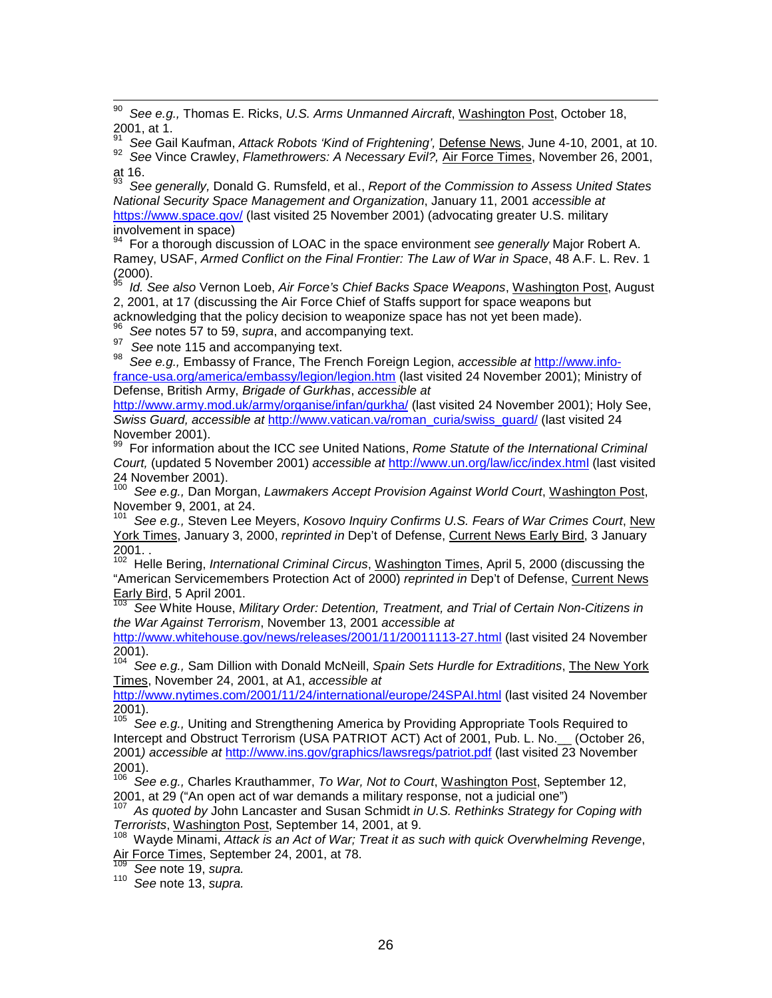90 *See e.g.,* Thomas E. Ricks, *U.S. Arms Unmanned Aircraft*, Washington Post, October 18, 2001, at 1.

91 *See* Gail Kaufman, *Attack Robots 'Kind of Frightening',* Defense News, June 4-10, 2001, at 10. 92 *See* Vince Crawley, *Flamethrowers: A Necessary Evil?,* Air Force Times, November 26, 2001, at 16.

93 *See generally,* Donald G. Rumsfeld, et al., *Report of the Commission to Assess United States National Security Space Management and Organization*, January 11, 2001 *accessible at* https://www.space.gov/ (last visited 25 November 2001) (advocating greater U.S. military involvement in space)

94 For a thorough discussion of LOAC in the space environment *see generally* Major Robert A. Ramey, USAF, *Armed Conflict on the Final Frontier: The Law of War in Space*, 48 A.F. L. Rev. 1  $(2000)$ .

95 *Id. See also* Vernon Loeb, *Air Force's Chief Backs Space Weapons*, Washington Post, August 2, 2001, at 17 (discussing the Air Force Chief of Staffs support for space weapons but

acknowledging that the policy decision to weaponize space has not yet been made).

<sup>96</sup> See notes 57 to 59, *supra*, and accompanying text.<br><sup>97</sup> See note 115 and accompanying text.

<sup>98</sup> See e.g., Embassy of France, The French Foreign Legion, *accessible at* http://www.infofrance-usa.org/america/embassy/legion/legion.htm (last visited 24 November 2001); Ministry of Defense, British Army, *Brigade of Gurkhas*, *accessible at*

http://www.army.mod.uk/army/organise/infan/gurkha/ (last visited 24 November 2001): Holy See. *Swiss Guard, accessible at* http://www.vatican.va/roman\_curia/swiss\_guard/ (last visited 24 November 2001).

99 For information about the ICC *see* United Nations, *Rome Statute of the International Criminal Court,* (updated 5 November 2001) *accessible at* http://www.un.org/law/icc/index.html (last visited 24 November 2001).

100 *See e.g.,* Dan Morgan, *Lawmakers Accept Provision Against World Court*, Washington Post, November 9, 2001, at 24.

101 *See e.g.,* Steven Lee Meyers, *Kosovo Inquiry Confirms U.S. Fears of War Crimes Court*, New York Times, January 3, 2000, *reprinted in* Dep't of Defense, Current News Early Bird, 3 January 2001. .

102 Helle Bering, *International Criminal Circus*, Washington Times, April 5, 2000 (discussing the "American Servicemembers Protection Act of 2000) *reprinted in* Dep't of Defense, Current News  $\frac{\text{Early Bird}}{103}$ , 5 April 2001.

103 *See* White House, *Military Order: Detention, Treatment, and Trial of Certain Non-Citizens in the War Against Terrorism*, November 13, 2001 *accessible at*

http://www.whitehouse.gov/news/releases/2001/11/20011113-27.html (last visited 24 November 2001).

104 *See e.g.,* Sam Dillion with Donald McNeill, *Spain Sets Hurdle for Extraditions*, The New York Times, November 24, 2001, at A1, *accessible at*

http://www.nytimes.com/2001/11/24/international/europe/24SPAI.html (last visited 24 November 2001).

<sup>105</sup> See e.g., Uniting and Strengthening America by Providing Appropriate Tools Required to Intercept and Obstruct Terrorism (USA PATRIOT ACT) Act of 2001, Pub. L. No.\_\_ (October 26, 2001*) accessible at* http://www.ins.gov/graphics/lawsregs/patriot.pdf (last visited 23 November  $^{2001}_{106}$ .

See e.g., Charles Krauthammer, *To War, Not to Court*, Washington Post, September 12, 2001, at 29 ("An open act of war demands a military response, not a judicial one")

107 *As quoted by* John Lancaster and Susan Schmidt *in U.S. Rethinks Strategy for Coping with Terrorists*, Washington Post, September 14, 2001, at 9.<br><sup>108</sup> Wayde Minami, *Attack is an Act of War; Treat it as such with quick Overwhelming Revenge*,

Air Force Times, September 24, 2001, at 78.<br><sup>109</sup> See note 19, *supra.* 

<sup>109</sup>*See* note 19, *supra.* <sup>110</sup>*See* note 13, *supra.*